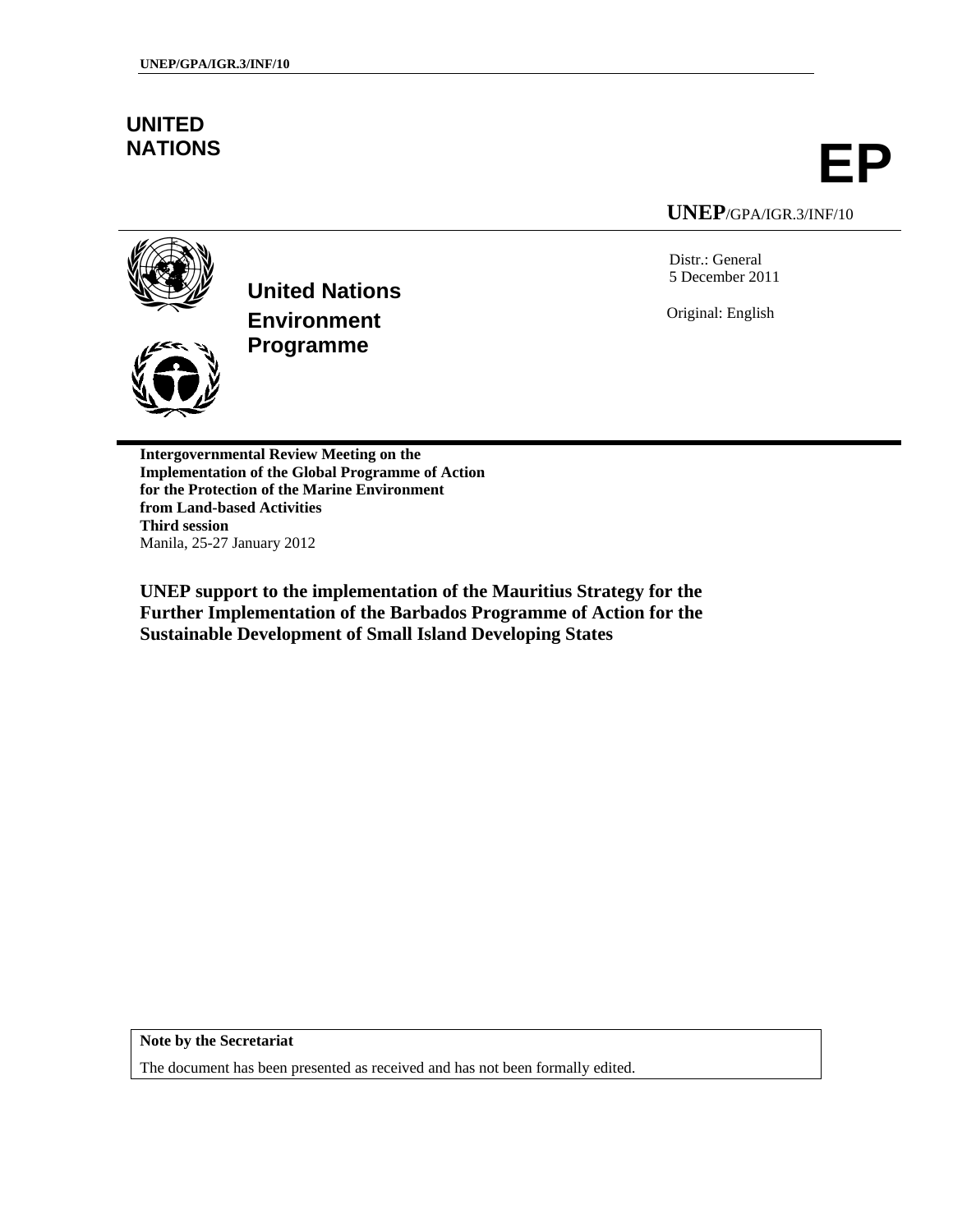# **UNITED**

**NATIONS EP**

**UNEP**/GPA/IGR.3/INF/10

Distr.: General 5 December 2011

Original: English



**United Nations Environment Programme**

**Intergovernmental Review Meeting on the Implementation of the Global Programme of Action for the Protection of the Marine Environment from Land-based Activities Third session**  Manila, 25-27 January 2012

**UNEP support to the implementation of the Mauritius Strategy for the Further Implementation of the Barbados Programme of Action for the Sustainable Development of Small Island Developing States** 

**Note by the Secretariat** 

The document has been presented as received and has not been formally edited.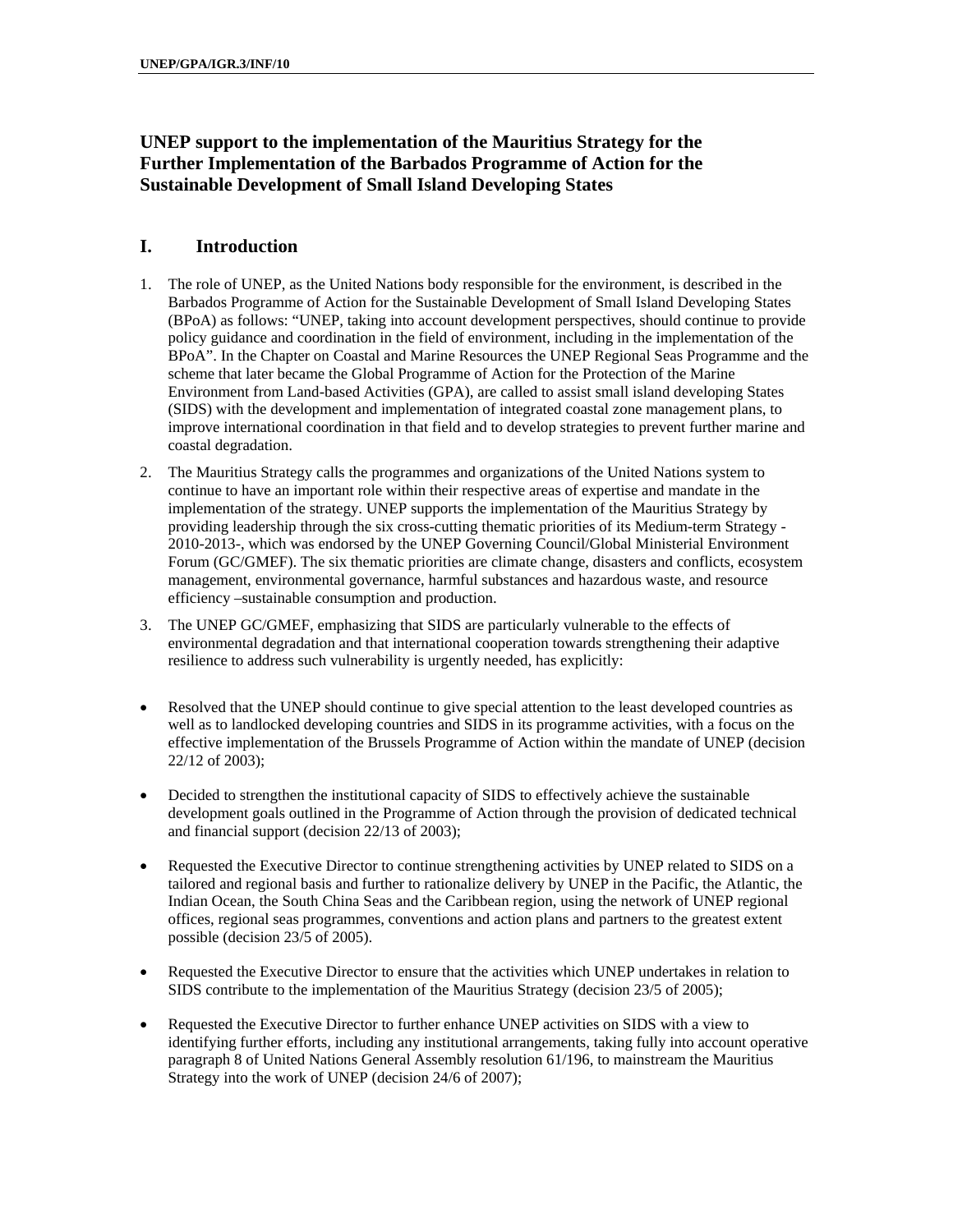# **UNEP support to the implementation of the Mauritius Strategy for the Further Implementation of the Barbados Programme of Action for the Sustainable Development of Small Island Developing States**

## **I. Introduction**

- 1. The role of UNEP, as the United Nations body responsible for the environment, is described in the Barbados Programme of Action for the Sustainable Development of Small Island Developing States (BPoA) as follows: "UNEP, taking into account development perspectives, should continue to provide policy guidance and coordination in the field of environment, including in the implementation of the BPoA". In the Chapter on Coastal and Marine Resources the UNEP Regional Seas Programme and the scheme that later became the Global Programme of Action for the Protection of the Marine Environment from Land-based Activities (GPA), are called to assist small island developing States (SIDS) with the development and implementation of integrated coastal zone management plans, to improve international coordination in that field and to develop strategies to prevent further marine and coastal degradation.
- 2. The Mauritius Strategy calls the programmes and organizations of the United Nations system to continue to have an important role within their respective areas of expertise and mandate in the implementation of the strategy. UNEP supports the implementation of the Mauritius Strategy by providing leadership through the six cross-cutting thematic priorities of its Medium-term Strategy - 2010-2013-, which was endorsed by the UNEP Governing Council/Global Ministerial Environment Forum (GC/GMEF). The six thematic priorities are climate change, disasters and conflicts, ecosystem management, environmental governance, harmful substances and hazardous waste, and resource efficiency –sustainable consumption and production.
- 3. The UNEP GC/GMEF, emphasizing that SIDS are particularly vulnerable to the effects of environmental degradation and that international cooperation towards strengthening their adaptive resilience to address such vulnerability is urgently needed, has explicitly:
- Resolved that the UNEP should continue to give special attention to the least developed countries as well as to landlocked developing countries and SIDS in its programme activities, with a focus on the effective implementation of the Brussels Programme of Action within the mandate of UNEP (decision 22/12 of 2003);
- Decided to strengthen the institutional capacity of SIDS to effectively achieve the sustainable development goals outlined in the Programme of Action through the provision of dedicated technical and financial support (decision 22/13 of 2003);
- Requested the Executive Director to continue strengthening activities by UNEP related to SIDS on a tailored and regional basis and further to rationalize delivery by UNEP in the Pacific, the Atlantic, the Indian Ocean, the South China Seas and the Caribbean region, using the network of UNEP regional offices, regional seas programmes, conventions and action plans and partners to the greatest extent possible (decision 23/5 of 2005).
- Requested the Executive Director to ensure that the activities which UNEP undertakes in relation to SIDS contribute to the implementation of the Mauritius Strategy (decision 23/5 of 2005);
- Requested the Executive Director to further enhance UNEP activities on SIDS with a view to identifying further efforts, including any institutional arrangements, taking fully into account operative paragraph 8 of United Nations General Assembly resolution 61/196, to mainstream the Mauritius Strategy into the work of UNEP (decision 24/6 of 2007);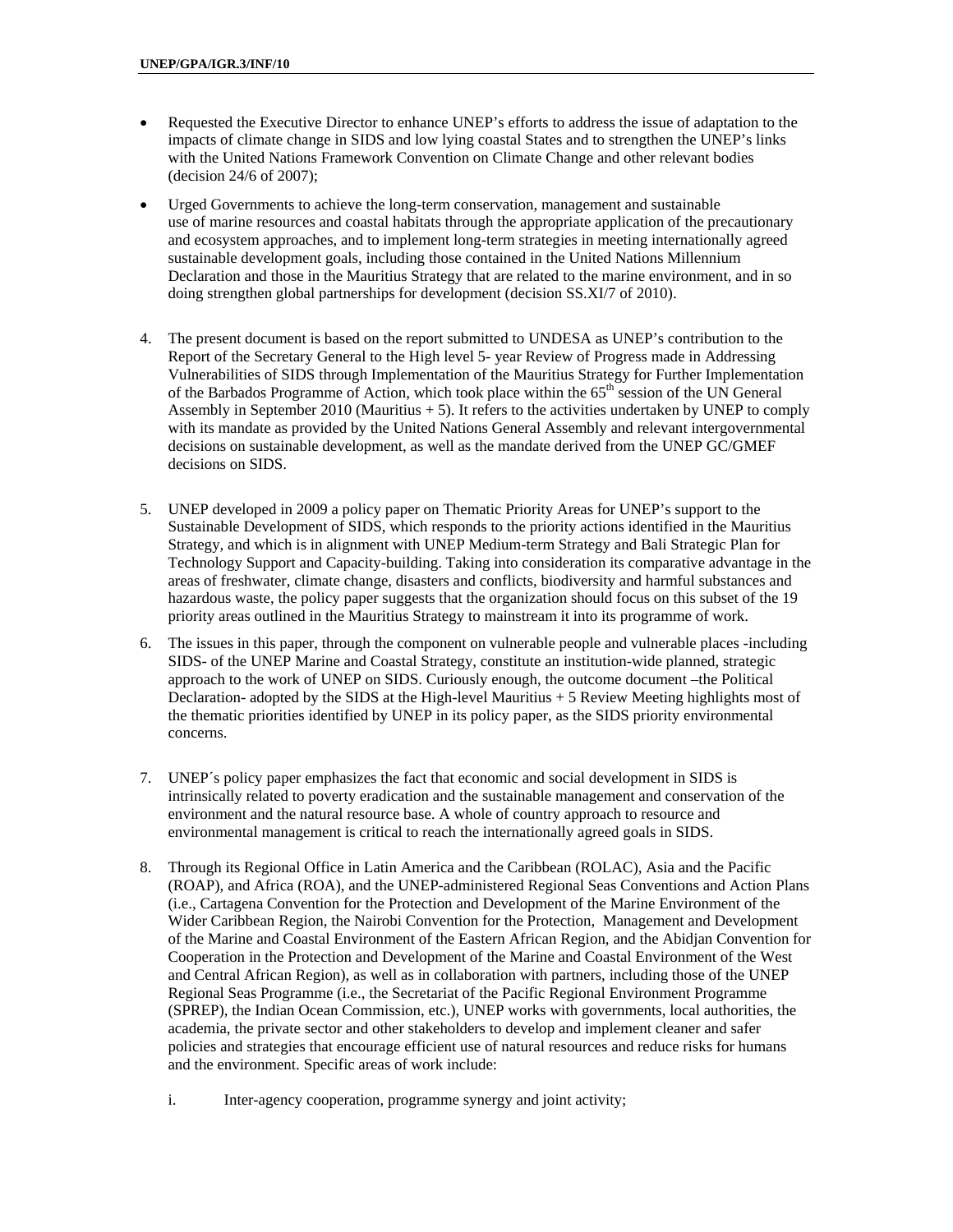- Requested the Executive Director to enhance UNEP's efforts to address the issue of adaptation to the impacts of climate change in SIDS and low lying coastal States and to strengthen the UNEP's links with the United Nations Framework Convention on Climate Change and other relevant bodies (decision 24/6 of 2007);
- Urged Governments to achieve the long-term conservation, management and sustainable use of marine resources and coastal habitats through the appropriate application of the precautionary and ecosystem approaches, and to implement long-term strategies in meeting internationally agreed sustainable development goals, including those contained in the United Nations Millennium Declaration and those in the Mauritius Strategy that are related to the marine environment, and in so doing strengthen global partnerships for development (decision SS.XI/7 of 2010).
- 4. The present document is based on the report submitted to UNDESA as UNEP's contribution to the Report of the Secretary General to the High level 5- year Review of Progress made in Addressing Vulnerabilities of SIDS through Implementation of the Mauritius Strategy for Further Implementation of the Barbados Programme of Action, which took place within the 65<sup>th</sup> session of the UN General Assembly in September 2010 (Mauritius  $+ 5$ ). It refers to the activities undertaken by UNEP to comply with its mandate as provided by the United Nations General Assembly and relevant intergovernmental decisions on sustainable development, as well as the mandate derived from the UNEP GC/GMEF decisions on SIDS.
- 5. UNEP developed in 2009 a policy paper on Thematic Priority Areas for UNEP's support to the Sustainable Development of SIDS, which responds to the priority actions identified in the Mauritius Strategy, and which is in alignment with UNEP Medium-term Strategy and Bali Strategic Plan for Technology Support and Capacity-building. Taking into consideration its comparative advantage in the areas of freshwater, climate change, disasters and conflicts, biodiversity and harmful substances and hazardous waste, the policy paper suggests that the organization should focus on this subset of the 19 priority areas outlined in the Mauritius Strategy to mainstream it into its programme of work.
- 6. The issues in this paper, through the component on vulnerable people and vulnerable places -including SIDS- of the UNEP Marine and Coastal Strategy, constitute an institution-wide planned, strategic approach to the work of UNEP on SIDS. Curiously enough, the outcome document –the Political Declaration- adopted by the SIDS at the High-level Mauritius + 5 Review Meeting highlights most of the thematic priorities identified by UNEP in its policy paper, as the SIDS priority environmental concerns.
- 7. UNEP´s policy paper emphasizes the fact that economic and social development in SIDS is intrinsically related to poverty eradication and the sustainable management and conservation of the environment and the natural resource base. A whole of country approach to resource and environmental management is critical to reach the internationally agreed goals in SIDS.
- 8. Through its Regional Office in Latin America and the Caribbean (ROLAC), Asia and the Pacific (ROAP), and Africa (ROA), and the UNEP-administered Regional Seas Conventions and Action Plans (i.e., Cartagena Convention for the Protection and Development of the Marine Environment of the Wider Caribbean Region, the Nairobi Convention for the Protection, Management and Development of the Marine and Coastal Environment of the Eastern African Region, and the Abidjan Convention for Cooperation in the Protection and Development of the Marine and Coastal Environment of the West and Central African Region), as well as in collaboration with partners, including those of the UNEP Regional Seas Programme (i.e., the Secretariat of the Pacific Regional Environment Programme (SPREP), the Indian Ocean Commission, etc.), UNEP works with governments, local authorities, the academia, the private sector and other stakeholders to develop and implement cleaner and safer policies and strategies that encourage efficient use of natural resources and reduce risks for humans and the environment. Specific areas of work include:
	- i. Inter-agency cooperation, programme synergy and joint activity;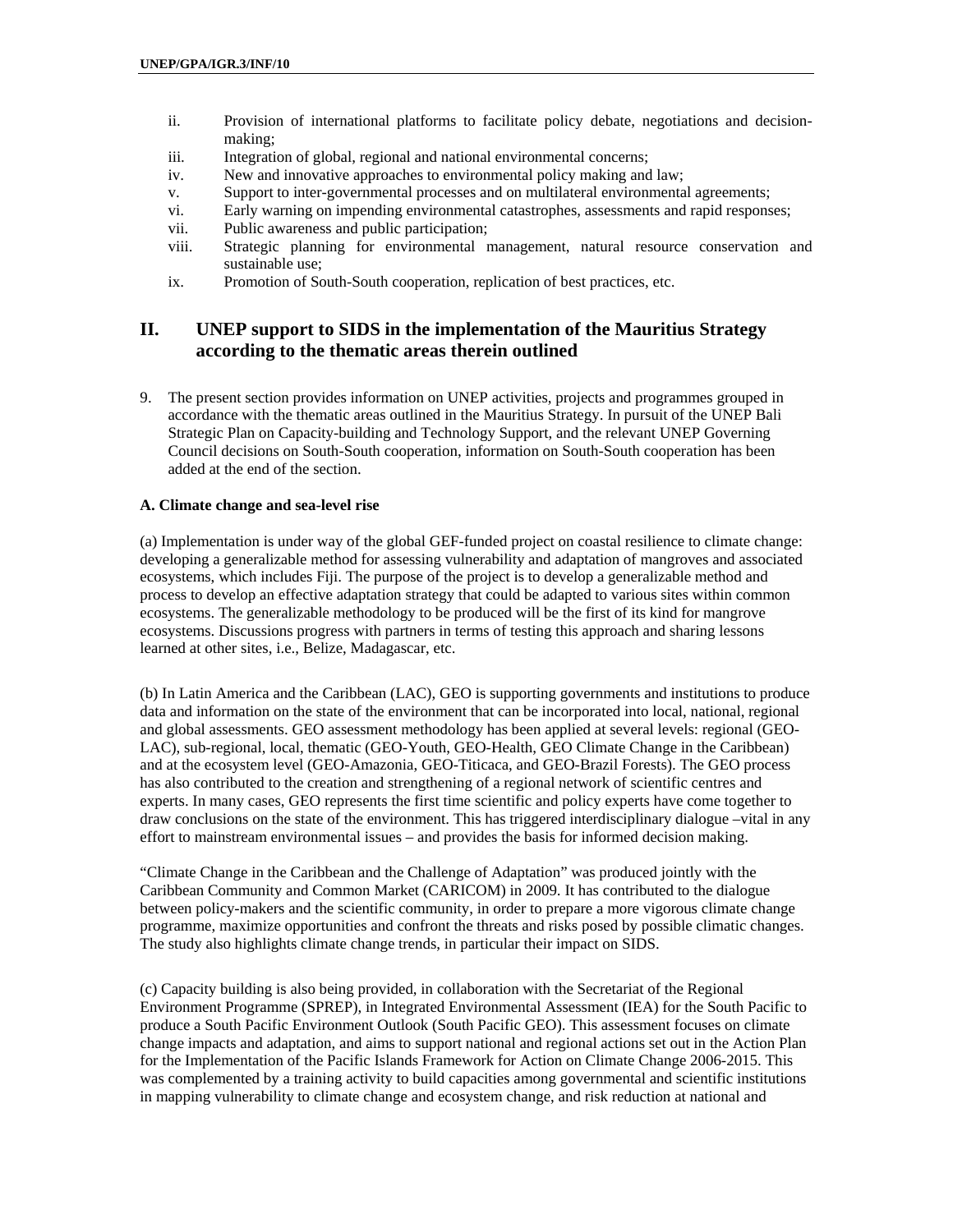- ii. Provision of international platforms to facilitate policy debate, negotiations and decisionmaking;
- iii. Integration of global, regional and national environmental concerns;
- iv. New and innovative approaches to environmental policy making and law;
- v. Support to inter-governmental processes and on multilateral environmental agreements;
- vi. Early warning on impending environmental catastrophes, assessments and rapid responses;
- vii. Public awareness and public participation;
- viii. Strategic planning for environmental management, natural resource conservation and sustainable use;
- ix. Promotion of South-South cooperation, replication of best practices, etc.

## **II. UNEP support to SIDS in the implementation of the Mauritius Strategy according to the thematic areas therein outlined**

9. The present section provides information on UNEP activities, projects and programmes grouped in accordance with the thematic areas outlined in the Mauritius Strategy. In pursuit of the UNEP Bali Strategic Plan on Capacity-building and Technology Support, and the relevant UNEP Governing Council decisions on South-South cooperation, information on South-South cooperation has been added at the end of the section.

#### **A. Climate change and sea-level rise**

(a) Implementation is under way of the global GEF-funded project on coastal resilience to climate change: developing a generalizable method for assessing vulnerability and adaptation of mangroves and associated ecosystems, which includes Fiji. The purpose of the project is to develop a generalizable method and process to develop an effective adaptation strategy that could be adapted to various sites within common ecosystems. The generalizable methodology to be produced will be the first of its kind for mangrove ecosystems. Discussions progress with partners in terms of testing this approach and sharing lessons learned at other sites, i.e., Belize, Madagascar, etc.

(b) In Latin America and the Caribbean (LAC), GEO is supporting governments and institutions to produce data and information on the state of the environment that can be incorporated into local, national, regional and global assessments. GEO assessment methodology has been applied at several levels: regional (GEO-LAC), sub-regional, local, thematic (GEO-Youth, GEO-Health, GEO Climate Change in the Caribbean) and at the ecosystem level (GEO-Amazonia, GEO-Titicaca, and GEO-Brazil Forests). The GEO process has also contributed to the creation and strengthening of a regional network of scientific centres and experts. In many cases, GEO represents the first time scientific and policy experts have come together to draw conclusions on the state of the environment. This has triggered interdisciplinary dialogue –vital in any effort to mainstream environmental issues – and provides the basis for informed decision making.

"Climate Change in the Caribbean and the Challenge of Adaptation" was produced jointly with the Caribbean Community and Common Market (CARICOM) in 2009. It has contributed to the dialogue between policy-makers and the scientific community, in order to prepare a more vigorous climate change programme, maximize opportunities and confront the threats and risks posed by possible climatic changes. The study also highlights climate change trends, in particular their impact on SIDS.

(c) Capacity building is also being provided, in collaboration with the Secretariat of the Regional Environment Programme (SPREP), in Integrated Environmental Assessment (IEA) for the South Pacific to produce a South Pacific Environment Outlook (South Pacific GEO). This assessment focuses on climate change impacts and adaptation, and aims to support national and regional actions set out in the Action Plan for the Implementation of the Pacific Islands Framework for Action on Climate Change 2006-2015. This was complemented by a training activity to build capacities among governmental and scientific institutions in mapping vulnerability to climate change and ecosystem change, and risk reduction at national and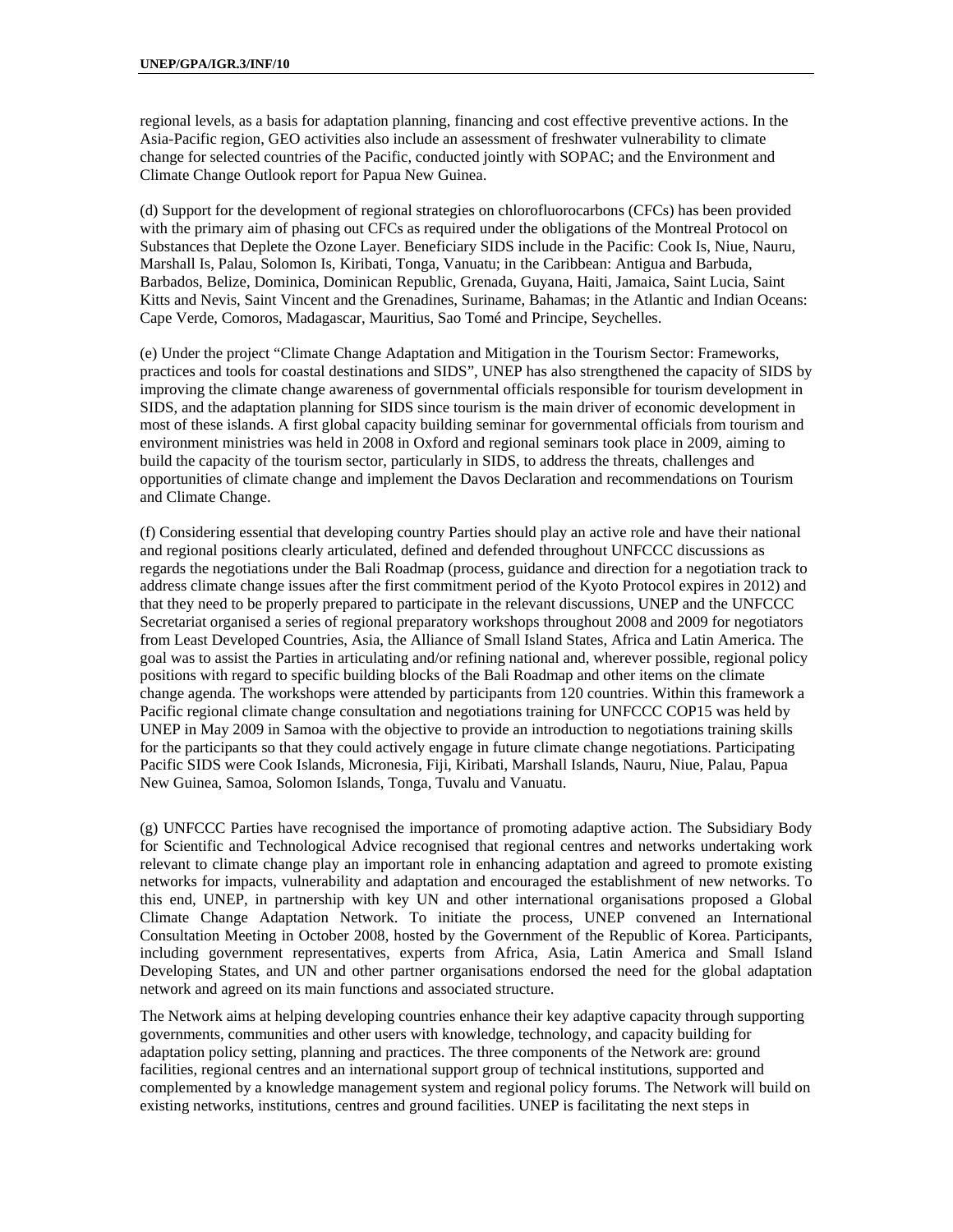regional levels, as a basis for adaptation planning, financing and cost effective preventive actions. In the Asia-Pacific region, GEO activities also include an assessment of freshwater vulnerability to climate change for selected countries of the Pacific, conducted jointly with SOPAC; and the Environment and Climate Change Outlook report for Papua New Guinea.

(d) Support for the development of regional strategies on chlorofluorocarbons (CFCs) has been provided with the primary aim of phasing out CFCs as required under the obligations of the Montreal Protocol on Substances that Deplete the Ozone Layer. Beneficiary SIDS include in the Pacific: Cook Is, Niue, Nauru, Marshall Is, Palau, Solomon Is, Kiribati, Tonga, Vanuatu; in the Caribbean: Antigua and Barbuda, Barbados, Belize, Dominica, Dominican Republic, Grenada, Guyana, Haiti, Jamaica, Saint Lucia, Saint Kitts and Nevis, Saint Vincent and the Grenadines, Suriname, Bahamas; in the Atlantic and Indian Oceans: Cape Verde, Comoros, Madagascar, Mauritius, Sao Tomé and Principe, Seychelles.

(e) Under the project "Climate Change Adaptation and Mitigation in the Tourism Sector: Frameworks, practices and tools for coastal destinations and SIDS", UNEP has also strengthened the capacity of SIDS by improving the climate change awareness of governmental officials responsible for tourism development in SIDS, and the adaptation planning for SIDS since tourism is the main driver of economic development in most of these islands. A first global capacity building seminar for governmental officials from tourism and environment ministries was held in 2008 in Oxford and regional seminars took place in 2009, aiming to build the capacity of the tourism sector, particularly in SIDS, to address the threats, challenges and opportunities of climate change and implement the Davos Declaration and recommendations on Tourism and Climate Change.

(f) Considering essential that developing country Parties should play an active role and have their national and regional positions clearly articulated, defined and defended throughout UNFCCC discussions as regards the negotiations under the Bali Roadmap (process, guidance and direction for a negotiation track to address climate change issues after the first commitment period of the Kyoto Protocol expires in 2012) and that they need to be properly prepared to participate in the relevant discussions, UNEP and the UNFCCC Secretariat organised a series of regional preparatory workshops throughout 2008 and 2009 for negotiators from Least Developed Countries, Asia, the Alliance of Small Island States, Africa and Latin America. The goal was to assist the Parties in articulating and/or refining national and, wherever possible, regional policy positions with regard to specific building blocks of the Bali Roadmap and other items on the climate change agenda. The workshops were attended by participants from 120 countries. Within this framework a Pacific regional climate change consultation and negotiations training for UNFCCC COP15 was held by UNEP in May 2009 in Samoa with the objective to provide an introduction to negotiations training skills for the participants so that they could actively engage in future climate change negotiations. Participating Pacific SIDS were Cook Islands, Micronesia, Fiji, Kiribati, Marshall Islands, Nauru, Niue, Palau, Papua New Guinea, Samoa, Solomon Islands, Tonga, Tuvalu and Vanuatu.

(g) UNFCCC Parties have recognised the importance of promoting adaptive action. The Subsidiary Body for Scientific and Technological Advice recognised that regional centres and networks undertaking work relevant to climate change play an important role in enhancing adaptation and agreed to promote existing networks for impacts, vulnerability and adaptation and encouraged the establishment of new networks. To this end, UNEP, in partnership with key UN and other international organisations proposed a Global Climate Change Adaptation Network. To initiate the process, UNEP convened an International Consultation Meeting in October 2008, hosted by the Government of the Republic of Korea. Participants, including government representatives, experts from Africa, Asia, Latin America and Small Island Developing States, and UN and other partner organisations endorsed the need for the global adaptation network and agreed on its main functions and associated structure.

The Network aims at helping developing countries enhance their key adaptive capacity through supporting governments, communities and other users with knowledge, technology, and capacity building for adaptation policy setting, planning and practices. The three components of the Network are: ground facilities, regional centres and an international support group of technical institutions, supported and complemented by a knowledge management system and regional policy forums. The Network will build on existing networks, institutions, centres and ground facilities. UNEP is facilitating the next steps in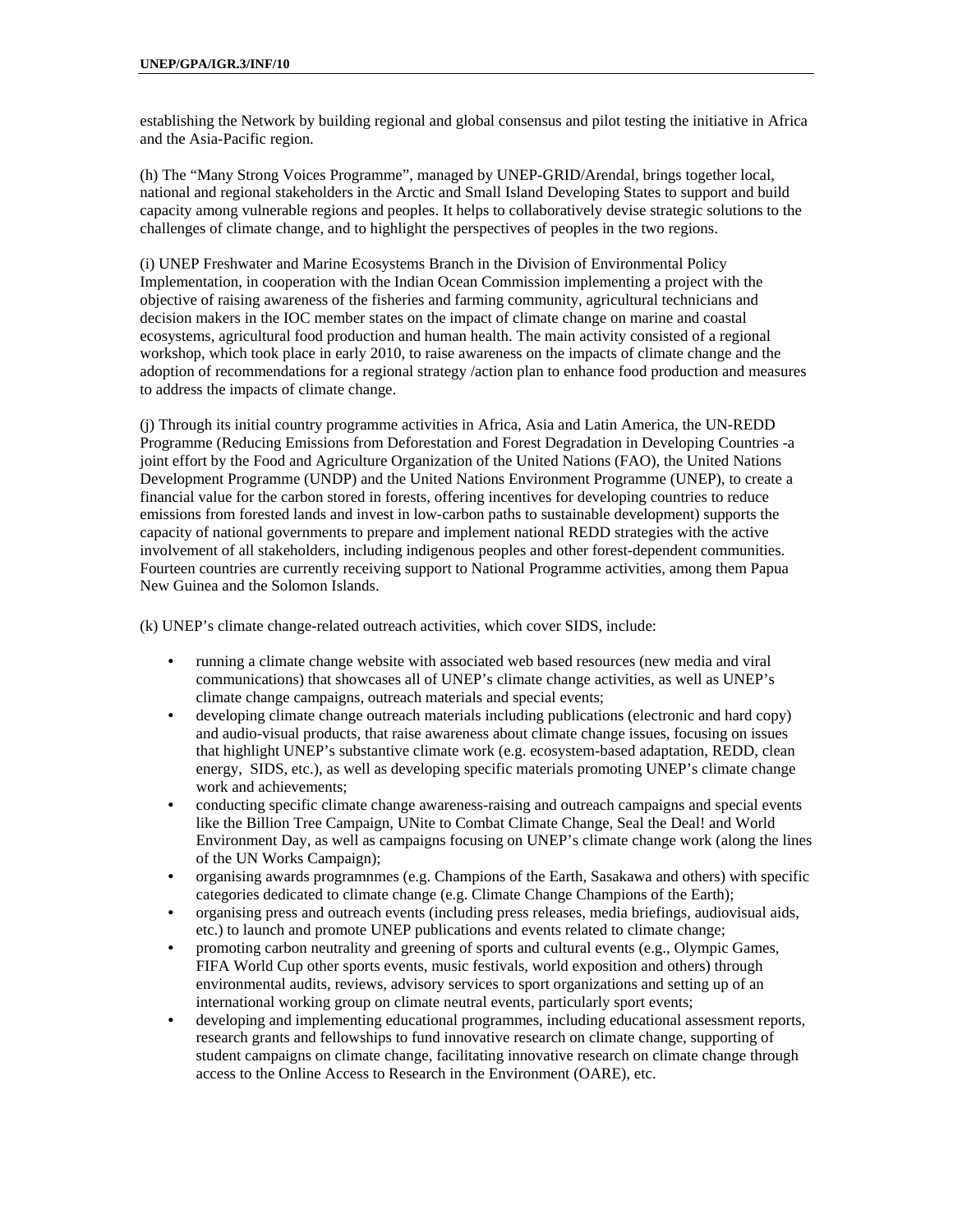establishing the Network by building regional and global consensus and pilot testing the initiative in Africa and the Asia-Pacific region.

(h) The "Many Strong Voices Programme", managed by UNEP-GRID/Arendal, brings together local, national and regional stakeholders in the Arctic and Small Island Developing States to support and build capacity among vulnerable regions and peoples. It helps to collaboratively devise strategic solutions to the challenges of climate change, and to highlight the perspectives of peoples in the two regions.

(i) UNEP Freshwater and Marine Ecosystems Branch in the Division of Environmental Policy Implementation, in cooperation with the Indian Ocean Commission implementing a project with the objective of raising awareness of the fisheries and farming community, agricultural technicians and decision makers in the IOC member states on the impact of climate change on marine and coastal ecosystems, agricultural food production and human health. The main activity consisted of a regional workshop, which took place in early 2010, to raise awareness on the impacts of climate change and the adoption of recommendations for a regional strategy /action plan to enhance food production and measures to address the impacts of climate change.

(j) Through its initial country programme activities in Africa, Asia and Latin America, the UN-REDD Programme (Reducing Emissions from Deforestation and Forest Degradation in Developing Countries -a joint effort by the Food and Agriculture Organization of the United Nations (FAO), the United Nations Development Programme (UNDP) and the United Nations Environment Programme (UNEP), to create a financial value for the carbon stored in forests, offering incentives for developing countries to reduce emissions from forested lands and invest in low-carbon paths to sustainable development) supports the capacity of national governments to prepare and implement national REDD strategies with the active involvement of all stakeholders, including indigenous peoples and other forest-dependent communities. Fourteen countries are currently receiving support to National Programme activities, among them Papua New Guinea and the Solomon Islands.

(k) UNEP's climate change-related outreach activities, which cover SIDS, include:

- running a climate change website with associated web based resources (new media and viral communications) that showcases all of UNEP's climate change activities, as well as UNEP's climate change campaigns, outreach materials and special events;
- developing climate change outreach materials including publications (electronic and hard copy) and audio-visual products, that raise awareness about climate change issues, focusing on issues that highlight UNEP's substantive climate work (e.g. ecosystem-based adaptation, REDD, clean energy, SIDS, etc.), as well as developing specific materials promoting UNEP's climate change work and achievements;
- conducting specific climate change awareness-raising and outreach campaigns and special events like the Billion Tree Campaign, UNite to Combat Climate Change, Seal the Deal! and World Environment Day, as well as campaigns focusing on UNEP's climate change work (along the lines of the UN Works Campaign);
- organising awards programnmes (e.g. Champions of the Earth, Sasakawa and others) with specific categories dedicated to climate change (e.g. Climate Change Champions of the Earth);
- organising press and outreach events (including press releases, media briefings, audiovisual aids, etc.) to launch and promote UNEP publications and events related to climate change;
- promoting carbon neutrality and greening of sports and cultural events (e.g., Olympic Games, FIFA World Cup other sports events, music festivals, world exposition and others) through environmental audits, reviews, advisory services to sport organizations and setting up of an international working group on climate neutral events, particularly sport events;
- developing and implementing educational programmes, including educational assessment reports, research grants and fellowships to fund innovative research on climate change, supporting of student campaigns on climate change, facilitating innovative research on climate change through access to the Online Access to Research in the Environment (OARE), etc.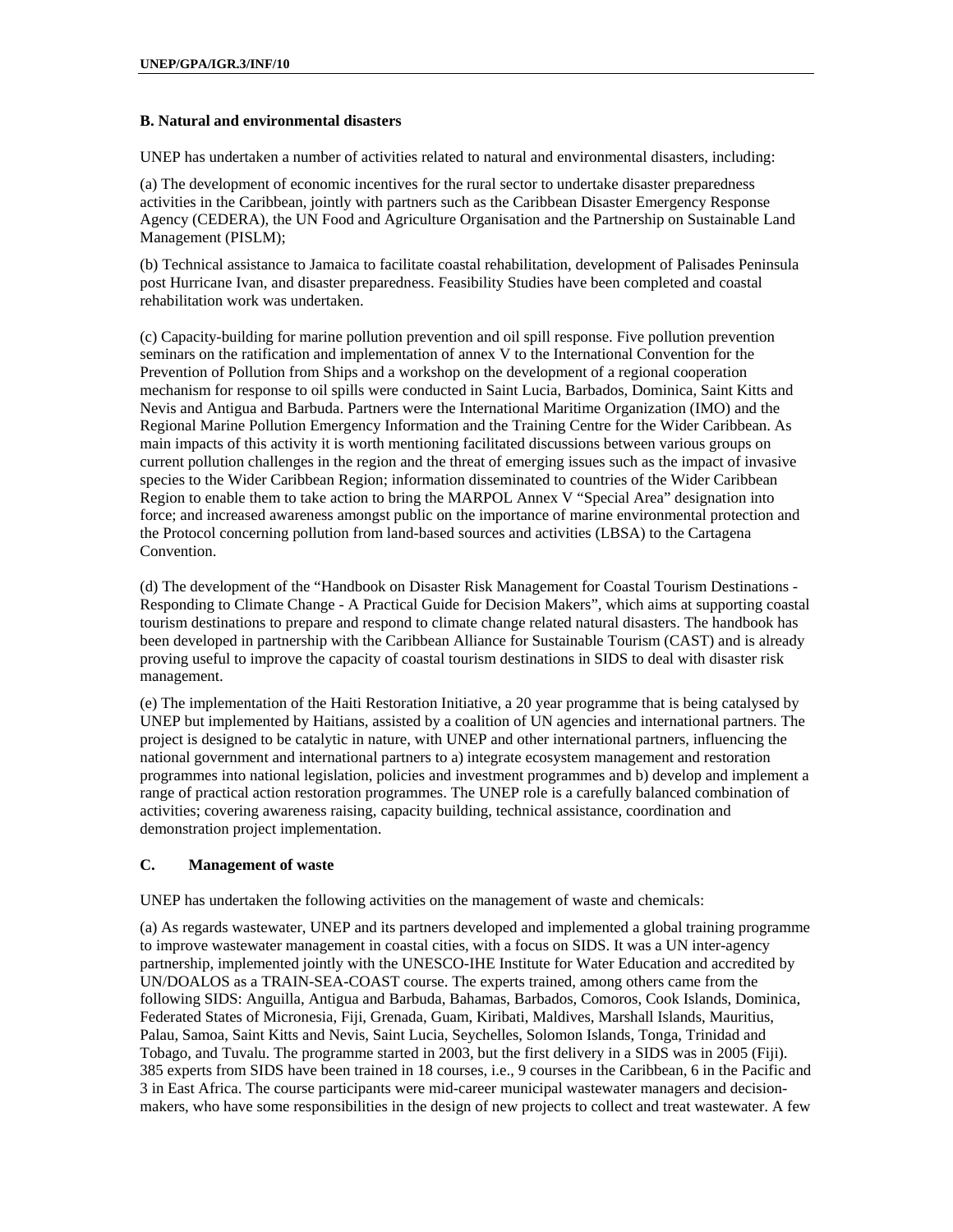#### **B. Natural and environmental disasters**

UNEP has undertaken a number of activities related to natural and environmental disasters, including:

(a) The development of economic incentives for the rural sector to undertake disaster preparedness activities in the Caribbean, jointly with partners such as the Caribbean Disaster Emergency Response Agency (CEDERA), the UN Food and Agriculture Organisation and the Partnership on Sustainable Land Management (PISLM);

(b) Technical assistance to Jamaica to facilitate coastal rehabilitation, development of Palisades Peninsula post Hurricane Ivan, and disaster preparedness. Feasibility Studies have been completed and coastal rehabilitation work was undertaken.

(c) Capacity-building for marine pollution prevention and oil spill response. Five pollution prevention seminars on the ratification and implementation of annex V to the International Convention for the Prevention of Pollution from Ships and a workshop on the development of a regional cooperation mechanism for response to oil spills were conducted in Saint Lucia, Barbados, Dominica, Saint Kitts and Nevis and Antigua and Barbuda. Partners were the International Maritime Organization (IMO) and the Regional Marine Pollution Emergency Information and the Training Centre for the Wider Caribbean. As main impacts of this activity it is worth mentioning facilitated discussions between various groups on current pollution challenges in the region and the threat of emerging issues such as the impact of invasive species to the Wider Caribbean Region; information disseminated to countries of the Wider Caribbean Region to enable them to take action to bring the MARPOL Annex V "Special Area" designation into force; and increased awareness amongst public on the importance of marine environmental protection and the Protocol concerning pollution from land-based sources and activities (LBSA) to the Cartagena Convention.

(d) The development of the "Handbook on Disaster Risk Management for Coastal Tourism Destinations - Responding to Climate Change - A Practical Guide for Decision Makers", which aims at supporting coastal tourism destinations to prepare and respond to climate change related natural disasters. The handbook has been developed in partnership with the Caribbean Alliance for Sustainable Tourism (CAST) and is already proving useful to improve the capacity of coastal tourism destinations in SIDS to deal with disaster risk management.

(e) The implementation of the Haiti Restoration Initiative, a 20 year programme that is being catalysed by UNEP but implemented by Haitians, assisted by a coalition of UN agencies and international partners. The project is designed to be catalytic in nature, with UNEP and other international partners, influencing the national government and international partners to a) integrate ecosystem management and restoration programmes into national legislation, policies and investment programmes and b) develop and implement a range of practical action restoration programmes. The UNEP role is a carefully balanced combination of activities; covering awareness raising, capacity building, technical assistance, coordination and demonstration project implementation.

#### **C. Management of waste**

UNEP has undertaken the following activities on the management of waste and chemicals:

(a) As regards wastewater, UNEP and its partners developed and implemented a global training programme to improve wastewater management in coastal cities, with a focus on SIDS. It was a UN inter-agency partnership, implemented jointly with the UNESCO-IHE Institute for Water Education and accredited by UN/DOALOS as a TRAIN-SEA-COAST course. The experts trained, among others came from the following SIDS: Anguilla, Antigua and Barbuda, Bahamas, Barbados, Comoros, Cook Islands, Dominica, Federated States of Micronesia, Fiji, Grenada, Guam, Kiribati, Maldives, Marshall Islands, Mauritius, Palau, Samoa, Saint Kitts and Nevis, Saint Lucia, Seychelles, Solomon Islands, Tonga, Trinidad and Tobago, and Tuvalu. The programme started in 2003, but the first delivery in a SIDS was in 2005 (Fiji). 385 experts from SIDS have been trained in 18 courses, i.e., 9 courses in the Caribbean, 6 in the Pacific and 3 in East Africa. The course participants were mid-career municipal wastewater managers and decisionmakers, who have some responsibilities in the design of new projects to collect and treat wastewater. A few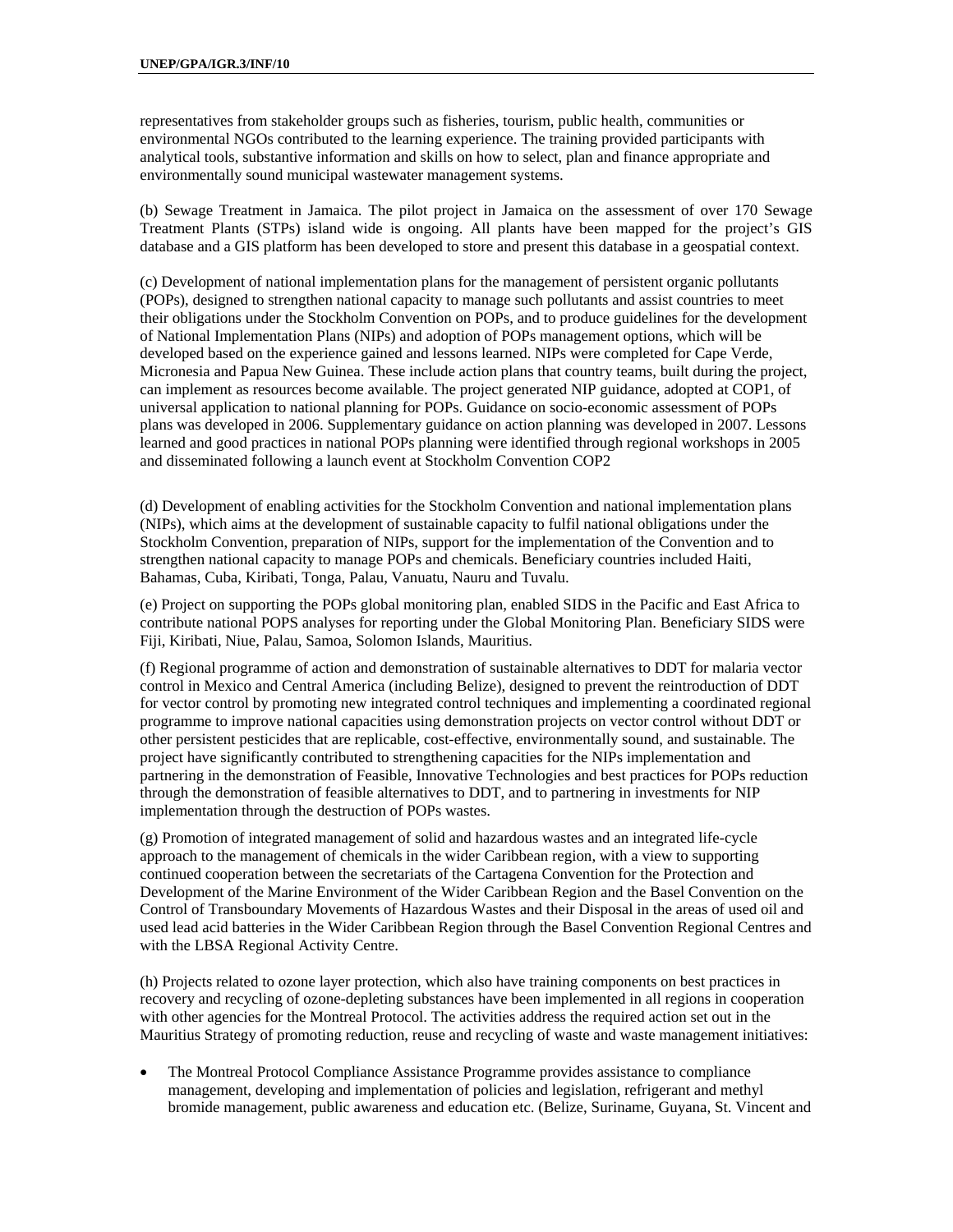representatives from stakeholder groups such as fisheries, tourism, public health, communities or environmental NGOs contributed to the learning experience. The training provided participants with analytical tools, substantive information and skills on how to select, plan and finance appropriate and environmentally sound municipal wastewater management systems.

(b) Sewage Treatment in Jamaica. The pilot project in Jamaica on the assessment of over 170 Sewage Treatment Plants (STPs) island wide is ongoing. All plants have been mapped for the project's GIS database and a GIS platform has been developed to store and present this database in a geospatial context.

(c) Development of national implementation plans for the management of persistent organic pollutants (POPs), designed to strengthen national capacity to manage such pollutants and assist countries to meet their obligations under the Stockholm Convention on POPs, and to produce guidelines for the development of National Implementation Plans (NIPs) and adoption of POPs management options, which will be developed based on the experience gained and lessons learned. NIPs were completed for Cape Verde, Micronesia and Papua New Guinea. These include action plans that country teams, built during the project, can implement as resources become available. The project generated NIP guidance, adopted at COP1, of universal application to national planning for POPs. Guidance on socio-economic assessment of POPs plans was developed in 2006. Supplementary guidance on action planning was developed in 2007. Lessons learned and good practices in national POPs planning were identified through regional workshops in 2005 and disseminated following a launch event at Stockholm Convention COP2

(d) Development of enabling activities for the Stockholm Convention and national implementation plans (NIPs), which aims at the development of sustainable capacity to fulfil national obligations under the Stockholm Convention, preparation of NIPs, support for the implementation of the Convention and to strengthen national capacity to manage POPs and chemicals. Beneficiary countries included Haiti, Bahamas, Cuba, Kiribati, Tonga, Palau, Vanuatu, Nauru and Tuvalu.

(e) Project on supporting the POPs global monitoring plan, enabled SIDS in the Pacific and East Africa to contribute national POPS analyses for reporting under the Global Monitoring Plan. Beneficiary SIDS were Fiji, Kiribati, Niue, Palau, Samoa, Solomon Islands, Mauritius.

(f) Regional programme of action and demonstration of sustainable alternatives to DDT for malaria vector control in Mexico and Central America (including Belize), designed to prevent the reintroduction of DDT for vector control by promoting new integrated control techniques and implementing a coordinated regional programme to improve national capacities using demonstration projects on vector control without DDT or other persistent pesticides that are replicable, cost-effective, environmentally sound, and sustainable. The project have significantly contributed to strengthening capacities for the NIPs implementation and partnering in the demonstration of Feasible, Innovative Technologies and best practices for POPs reduction through the demonstration of feasible alternatives to DDT, and to partnering in investments for NIP implementation through the destruction of POPs wastes.

(g) Promotion of integrated management of solid and hazardous wastes and an integrated life-cycle approach to the management of chemicals in the wider Caribbean region, with a view to supporting continued cooperation between the secretariats of the Cartagena Convention for the Protection and Development of the Marine Environment of the Wider Caribbean Region and the Basel Convention on the Control of Transboundary Movements of Hazardous Wastes and their Disposal in the areas of used oil and used lead acid batteries in the Wider Caribbean Region through the Basel Convention Regional Centres and with the LBSA Regional Activity Centre.

(h) Projects related to ozone layer protection, which also have training components on best practices in recovery and recycling of ozone-depleting substances have been implemented in all regions in cooperation with other agencies for the Montreal Protocol. The activities address the required action set out in the Mauritius Strategy of promoting reduction, reuse and recycling of waste and waste management initiatives:

 The Montreal Protocol Compliance Assistance Programme provides assistance to compliance management, developing and implementation of policies and legislation, refrigerant and methyl bromide management, public awareness and education etc. (Belize, Suriname, Guyana, St. Vincent and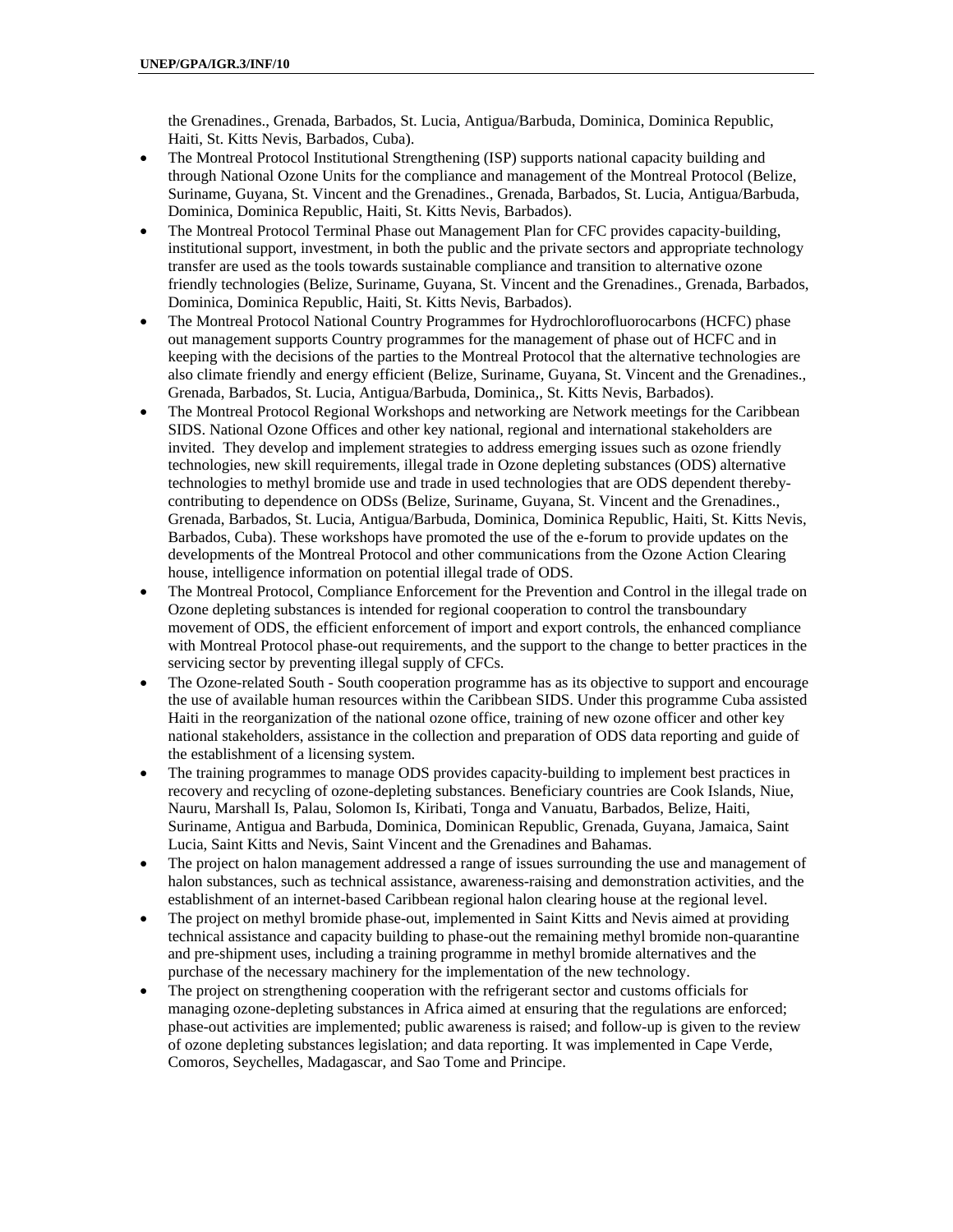the Grenadines., Grenada, Barbados, St. Lucia, Antigua/Barbuda, Dominica, Dominica Republic, Haiti, St. Kitts Nevis, Barbados, Cuba).

- The Montreal Protocol Institutional Strengthening (ISP) supports national capacity building and through National Ozone Units for the compliance and management of the Montreal Protocol (Belize, Suriname, Guyana, St. Vincent and the Grenadines., Grenada, Barbados, St. Lucia, Antigua/Barbuda, Dominica, Dominica Republic, Haiti, St. Kitts Nevis, Barbados).
- The Montreal Protocol Terminal Phase out Management Plan for CFC provides capacity-building, institutional support, investment, in both the public and the private sectors and appropriate technology transfer are used as the tools towards sustainable compliance and transition to alternative ozone friendly technologies (Belize, Suriname, Guyana, St. Vincent and the Grenadines., Grenada, Barbados, Dominica, Dominica Republic, Haiti, St. Kitts Nevis, Barbados).
- The Montreal Protocol National Country Programmes for Hydrochlorofluorocarbons (HCFC) phase out management supports Country programmes for the management of phase out of HCFC and in keeping with the decisions of the parties to the Montreal Protocol that the alternative technologies are also climate friendly and energy efficient (Belize, Suriname, Guyana, St. Vincent and the Grenadines., Grenada, Barbados, St. Lucia, Antigua/Barbuda, Dominica,, St. Kitts Nevis, Barbados).
- The Montreal Protocol Regional Workshops and networking are Network meetings for the Caribbean SIDS. National Ozone Offices and other key national, regional and international stakeholders are invited. They develop and implement strategies to address emerging issues such as ozone friendly technologies, new skill requirements, illegal trade in Ozone depleting substances (ODS) alternative technologies to methyl bromide use and trade in used technologies that are ODS dependent therebycontributing to dependence on ODSs (Belize, Suriname, Guyana, St. Vincent and the Grenadines., Grenada, Barbados, St. Lucia, Antigua/Barbuda, Dominica, Dominica Republic, Haiti, St. Kitts Nevis, Barbados, Cuba). These workshops have promoted the use of the e-forum to provide updates on the developments of the Montreal Protocol and other communications from the Ozone Action Clearing house, intelligence information on potential illegal trade of ODS.
- The Montreal Protocol, Compliance Enforcement for the Prevention and Control in the illegal trade on Ozone depleting substances is intended for regional cooperation to control the transboundary movement of ODS, the efficient enforcement of import and export controls, the enhanced compliance with Montreal Protocol phase-out requirements, and the support to the change to better practices in the servicing sector by preventing illegal supply of CFCs.
- The Ozone-related South South cooperation programme has as its objective to support and encourage the use of available human resources within the Caribbean SIDS. Under this programme Cuba assisted Haiti in the reorganization of the national ozone office, training of new ozone officer and other key national stakeholders, assistance in the collection and preparation of ODS data reporting and guide of the establishment of a licensing system.
- The training programmes to manage ODS provides capacity-building to implement best practices in recovery and recycling of ozone-depleting substances. Beneficiary countries are Cook Islands, Niue, Nauru, Marshall Is, Palau, Solomon Is, Kiribati, Tonga and Vanuatu, Barbados, Belize, Haiti, Suriname, Antigua and Barbuda, Dominica, Dominican Republic, Grenada, Guyana, Jamaica, Saint Lucia, Saint Kitts and Nevis, Saint Vincent and the Grenadines and Bahamas.
- The project on halon management addressed a range of issues surrounding the use and management of halon substances, such as technical assistance, awareness-raising and demonstration activities, and the establishment of an internet-based Caribbean regional halon clearing house at the regional level.
- The project on methyl bromide phase-out, implemented in Saint Kitts and Nevis aimed at providing technical assistance and capacity building to phase-out the remaining methyl bromide non-quarantine and pre-shipment uses, including a training programme in methyl bromide alternatives and the purchase of the necessary machinery for the implementation of the new technology.
- The project on strengthening cooperation with the refrigerant sector and customs officials for managing ozone-depleting substances in Africa aimed at ensuring that the regulations are enforced; phase-out activities are implemented; public awareness is raised; and follow-up is given to the review of ozone depleting substances legislation; and data reporting. It was implemented in Cape Verde, Comoros, Seychelles, Madagascar, and Sao Tome and Principe.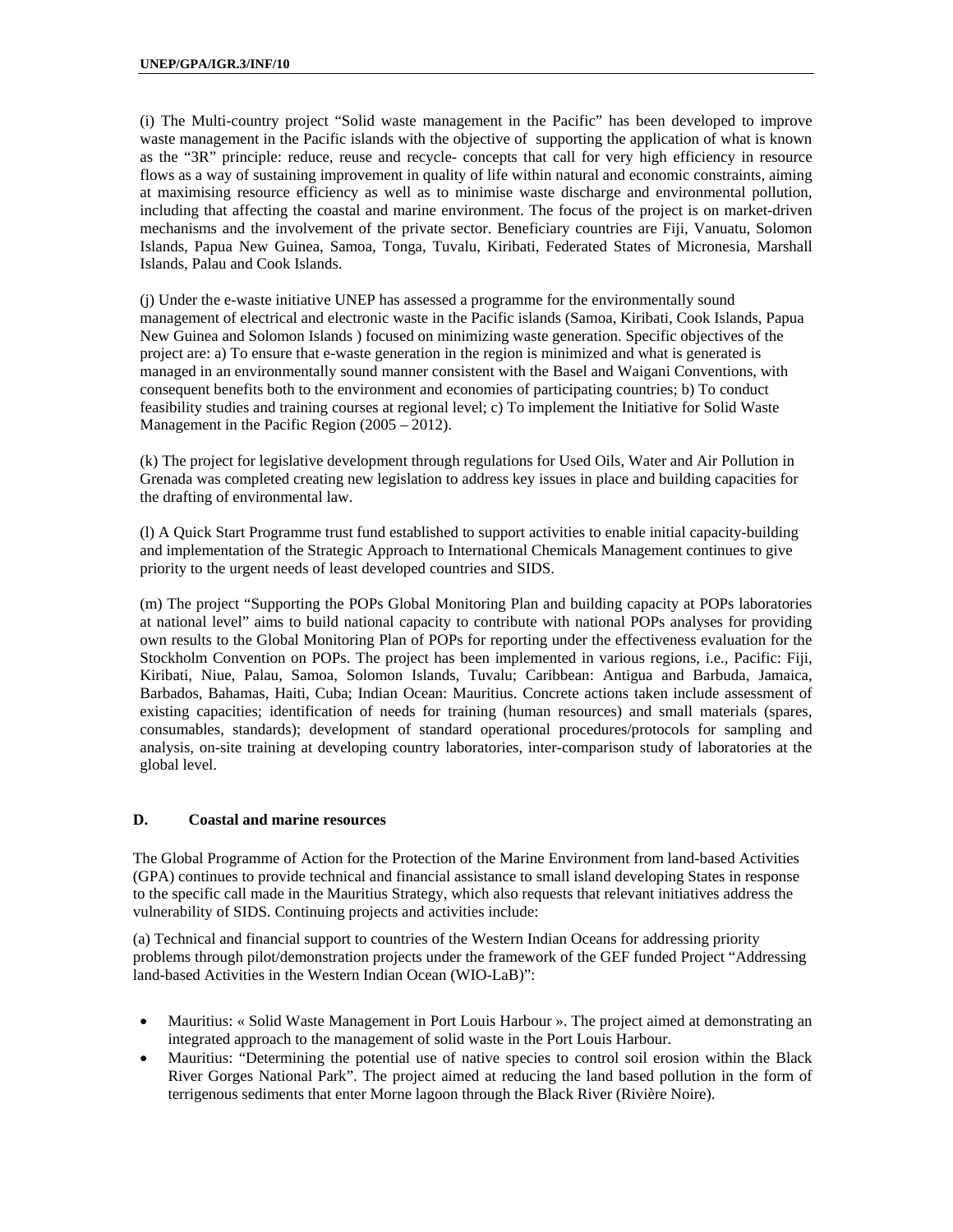(i) The Multi-country project "Solid waste management in the Pacific" has been developed to improve waste management in the Pacific islands with the objective of supporting the application of what is known as the "3R" principle: reduce, reuse and recycle- concepts that call for very high efficiency in resource flows as a way of sustaining improvement in quality of life within natural and economic constraints, aiming at maximising resource efficiency as well as to minimise waste discharge and environmental pollution, including that affecting the coastal and marine environment. The focus of the project is on market-driven mechanisms and the involvement of the private sector. Beneficiary countries are Fiji, Vanuatu, Solomon Islands, Papua New Guinea, Samoa, Tonga, Tuvalu, Kiribati, Federated States of Micronesia, Marshall Islands, Palau and Cook Islands.

(j) Under the e-waste initiative UNEP has assessed a programme for the environmentally sound management of electrical and electronic waste in the Pacific islands (Samoa, Kiribati, Cook Islands, Papua New Guinea and Solomon Islands ) focused on minimizing waste generation. Specific objectives of the project are: a) To ensure that e-waste generation in the region is minimized and what is generated is managed in an environmentally sound manner consistent with the Basel and Waigani Conventions, with consequent benefits both to the environment and economies of participating countries; b) To conduct feasibility studies and training courses at regional level; c) To implement the Initiative for Solid Waste Management in the Pacific Region (2005 – 2012).

(k) The project for legislative development through regulations for Used Oils, Water and Air Pollution in Grenada was completed creating new legislation to address key issues in place and building capacities for the drafting of environmental law.

(l) A Quick Start Programme trust fund established to support activities to enable initial capacity-building and implementation of the Strategic Approach to International Chemicals Management continues to give priority to the urgent needs of least developed countries and SIDS.

(m) The project "Supporting the POPs Global Monitoring Plan and building capacity at POPs laboratories at national level" aims to build national capacity to contribute with national POPs analyses for providing own results to the Global Monitoring Plan of POPs for reporting under the effectiveness evaluation for the Stockholm Convention on POPs. The project has been implemented in various regions, i.e., Pacific: Fiji, Kiribati, Niue, Palau, Samoa, Solomon Islands, Tuvalu; Caribbean: Antigua and Barbuda, Jamaica, Barbados, Bahamas, Haiti, Cuba; Indian Ocean: Mauritius. Concrete actions taken include assessment of existing capacities; identification of needs for training (human resources) and small materials (spares, consumables, standards); development of standard operational procedures/protocols for sampling and analysis, on-site training at developing country laboratories, inter-comparison study of laboratories at the global level.

#### **D. Coastal and marine resources**

The Global Programme of Action for the Protection of the Marine Environment from land-based Activities (GPA) continues to provide technical and financial assistance to small island developing States in response to the specific call made in the Mauritius Strategy, which also requests that relevant initiatives address the vulnerability of SIDS. Continuing projects and activities include:

(a) Technical and financial support to countries of the Western Indian Oceans for addressing priority problems through pilot/demonstration projects under the framework of the GEF funded Project "Addressing land-based Activities in the Western Indian Ocean (WIO-LaB)":

- Mauritius: « Solid Waste Management in Port Louis Harbour ». The project aimed at demonstrating an integrated approach to the management of solid waste in the Port Louis Harbour.
- Mauritius: "Determining the potential use of native species to control soil erosion within the Black River Gorges National Park". The project aimed at reducing the land based pollution in the form of terrigenous sediments that enter Morne lagoon through the Black River (Rivière Noire).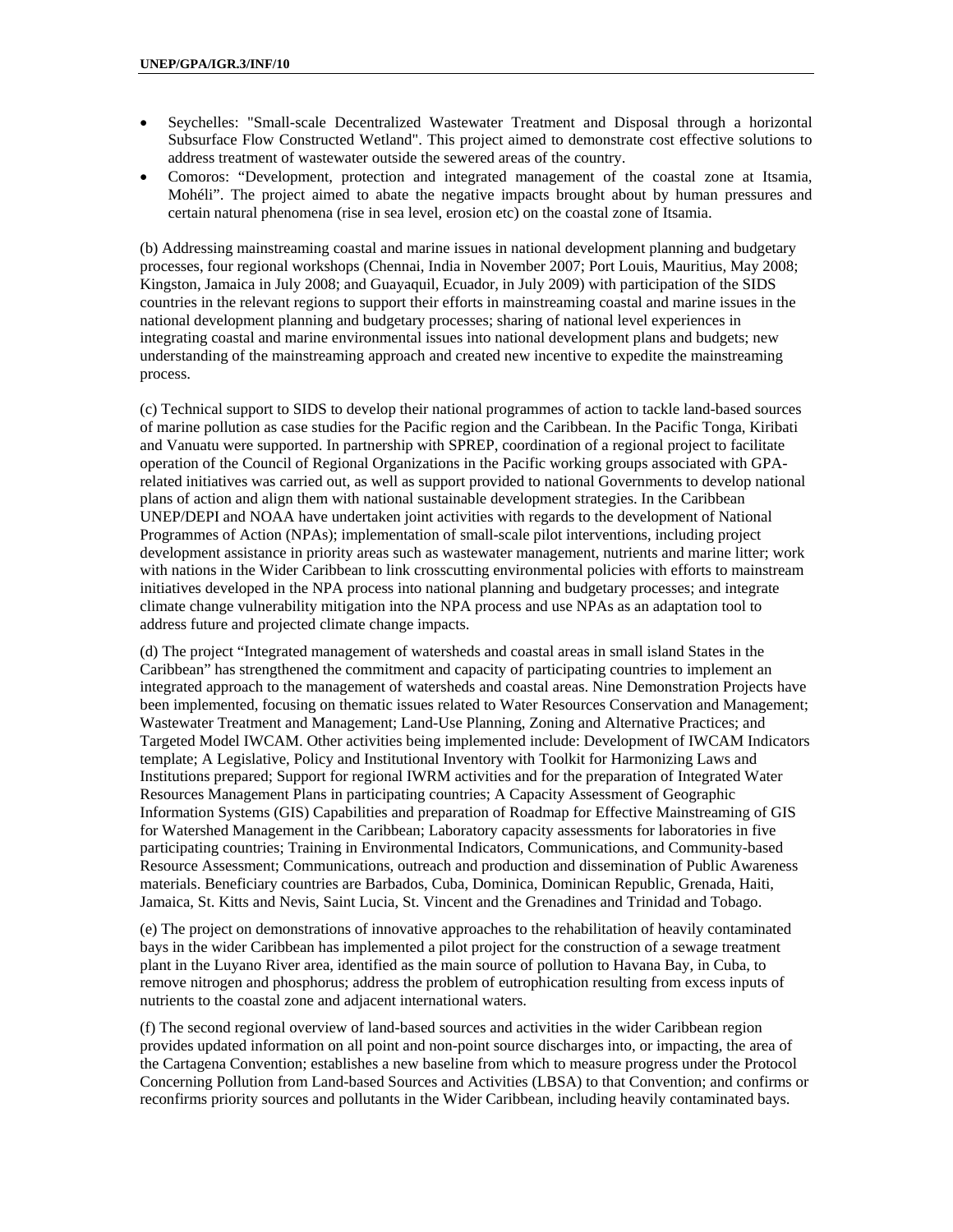- Seychelles: "Small-scale Decentralized Wastewater Treatment and Disposal through a horizontal Subsurface Flow Constructed Wetland". This project aimed to demonstrate cost effective solutions to address treatment of wastewater outside the sewered areas of the country.
- Comoros: "Development, protection and integrated management of the coastal zone at Itsamia, Mohéli". The project aimed to abate the negative impacts brought about by human pressures and certain natural phenomena (rise in sea level, erosion etc) on the coastal zone of Itsamia.

(b) Addressing mainstreaming coastal and marine issues in national development planning and budgetary processes, four regional workshops (Chennai, India in November 2007; Port Louis, Mauritius, May 2008; Kingston, Jamaica in July 2008; and Guayaquil, Ecuador, in July 2009) with participation of the SIDS countries in the relevant regions to support their efforts in mainstreaming coastal and marine issues in the national development planning and budgetary processes; sharing of national level experiences in integrating coastal and marine environmental issues into national development plans and budgets; new understanding of the mainstreaming approach and created new incentive to expedite the mainstreaming process.

(c) Technical support to SIDS to develop their national programmes of action to tackle land-based sources of marine pollution as case studies for the Pacific region and the Caribbean. In the Pacific Tonga, Kiribati and Vanuatu were supported. In partnership with SPREP, coordination of a regional project to facilitate operation of the Council of Regional Organizations in the Pacific working groups associated with GPArelated initiatives was carried out, as well as support provided to national Governments to develop national plans of action and align them with national sustainable development strategies. In the Caribbean UNEP/DEPI and NOAA have undertaken joint activities with regards to the development of National Programmes of Action (NPAs); implementation of small-scale pilot interventions, including project development assistance in priority areas such as wastewater management, nutrients and marine litter; work with nations in the Wider Caribbean to link crosscutting environmental policies with efforts to mainstream initiatives developed in the NPA process into national planning and budgetary processes; and integrate climate change vulnerability mitigation into the NPA process and use NPAs as an adaptation tool to address future and projected climate change impacts.

(d) The project "Integrated management of watersheds and coastal areas in small island States in the Caribbean" has strengthened the commitment and capacity of participating countries to implement an integrated approach to the management of watersheds and coastal areas. Nine Demonstration Projects have been implemented, focusing on thematic issues related to Water Resources Conservation and Management; Wastewater Treatment and Management; Land-Use Planning, Zoning and Alternative Practices; and Targeted Model IWCAM. Other activities being implemented include: Development of IWCAM Indicators template; A Legislative, Policy and Institutional Inventory with Toolkit for Harmonizing Laws and Institutions prepared; Support for regional IWRM activities and for the preparation of Integrated Water Resources Management Plans in participating countries; A Capacity Assessment of Geographic Information Systems (GIS) Capabilities and preparation of Roadmap for Effective Mainstreaming of GIS for Watershed Management in the Caribbean; Laboratory capacity assessments for laboratories in five participating countries; Training in Environmental Indicators, Communications, and Community-based Resource Assessment; Communications, outreach and production and dissemination of Public Awareness materials. Beneficiary countries are Barbados, Cuba, Dominica, Dominican Republic, Grenada, Haiti, Jamaica, St. Kitts and Nevis, Saint Lucia, St. Vincent and the Grenadines and Trinidad and Tobago.

(e) The project on demonstrations of innovative approaches to the rehabilitation of heavily contaminated bays in the wider Caribbean has implemented a pilot project for the construction of a sewage treatment plant in the Luyano River area, identified as the main source of pollution to Havana Bay, in Cuba, to remove nitrogen and phosphorus; address the problem of eutrophication resulting from excess inputs of nutrients to the coastal zone and adjacent international waters.

(f) The second regional overview of land-based sources and activities in the wider Caribbean region provides updated information on all point and non-point source discharges into, or impacting, the area of the Cartagena Convention; establishes a new baseline from which to measure progress under the Protocol Concerning Pollution from Land-based Sources and Activities (LBSA) to that Convention; and confirms or reconfirms priority sources and pollutants in the Wider Caribbean, including heavily contaminated bays.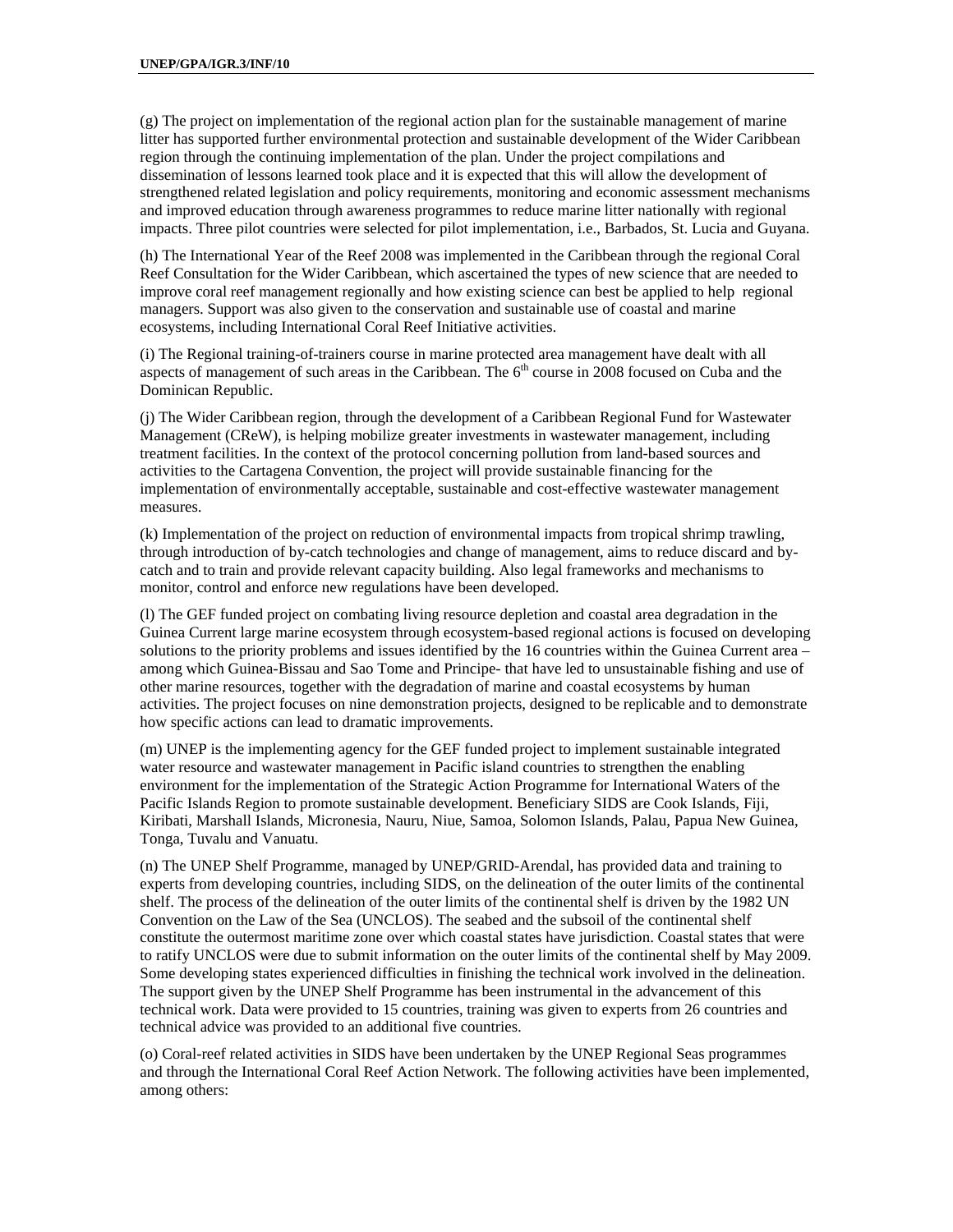(g) The project on implementation of the regional action plan for the sustainable management of marine litter has supported further environmental protection and sustainable development of the Wider Caribbean region through the continuing implementation of the plan. Under the project compilations and dissemination of lessons learned took place and it is expected that this will allow the development of strengthened related legislation and policy requirements, monitoring and economic assessment mechanisms and improved education through awareness programmes to reduce marine litter nationally with regional impacts. Three pilot countries were selected for pilot implementation, i.e., Barbados, St. Lucia and Guyana.

(h) The International Year of the Reef 2008 was implemented in the Caribbean through the regional Coral Reef Consultation for the Wider Caribbean, which ascertained the types of new science that are needed to improve coral reef management regionally and how existing science can best be applied to help regional managers. Support was also given to the conservation and sustainable use of coastal and marine ecosystems, including International Coral Reef Initiative activities.

(i) The Regional training-of-trainers course in marine protected area management have dealt with all aspects of management of such areas in the Caribbean. The  $6<sup>th</sup>$  course in 2008 focused on Cuba and the Dominican Republic.

(j) The Wider Caribbean region, through the development of a Caribbean Regional Fund for Wastewater Management (CReW), is helping mobilize greater investments in wastewater management, including treatment facilities. In the context of the protocol concerning pollution from land-based sources and activities to the Cartagena Convention, the project will provide sustainable financing for the implementation of environmentally acceptable, sustainable and cost-effective wastewater management measures.

(k) Implementation of the project on reduction of environmental impacts from tropical shrimp trawling, through introduction of by-catch technologies and change of management, aims to reduce discard and bycatch and to train and provide relevant capacity building. Also legal frameworks and mechanisms to monitor, control and enforce new regulations have been developed.

(l) The GEF funded project on combating living resource depletion and coastal area degradation in the Guinea Current large marine ecosystem through ecosystem-based regional actions is focused on developing solutions to the priority problems and issues identified by the 16 countries within the Guinea Current area – among which Guinea-Bissau and Sao Tome and Principe- that have led to unsustainable fishing and use of other marine resources, together with the degradation of marine and coastal ecosystems by human activities. The project focuses on nine demonstration projects, designed to be replicable and to demonstrate how specific actions can lead to dramatic improvements.

(m) UNEP is the implementing agency for the GEF funded project to implement sustainable integrated water resource and wastewater management in Pacific island countries to strengthen the enabling environment for the implementation of the Strategic Action Programme for International Waters of the Pacific Islands Region to promote sustainable development. Beneficiary SIDS are Cook Islands, Fiji, Kiribati, Marshall Islands, Micronesia, Nauru, Niue, Samoa, Solomon Islands, Palau, Papua New Guinea, Tonga, Tuvalu and Vanuatu.

(n) The UNEP Shelf Programme, managed by UNEP/GRID-Arendal, has provided data and training to experts from developing countries, including SIDS, on the delineation of the outer limits of the continental shelf. The process of the delineation of the outer limits of the continental shelf is driven by the 1982 UN Convention on the Law of the Sea (UNCLOS). The seabed and the subsoil of the continental shelf constitute the outermost maritime zone over which coastal states have jurisdiction. Coastal states that were to ratify UNCLOS were due to submit information on the outer limits of the continental shelf by May 2009. Some developing states experienced difficulties in finishing the technical work involved in the delineation. The support given by the UNEP Shelf Programme has been instrumental in the advancement of this technical work. Data were provided to 15 countries, training was given to experts from 26 countries and technical advice was provided to an additional five countries.

(o) Coral-reef related activities in SIDS have been undertaken by the UNEP Regional Seas programmes and through the International Coral Reef Action Network. The following activities have been implemented, among others: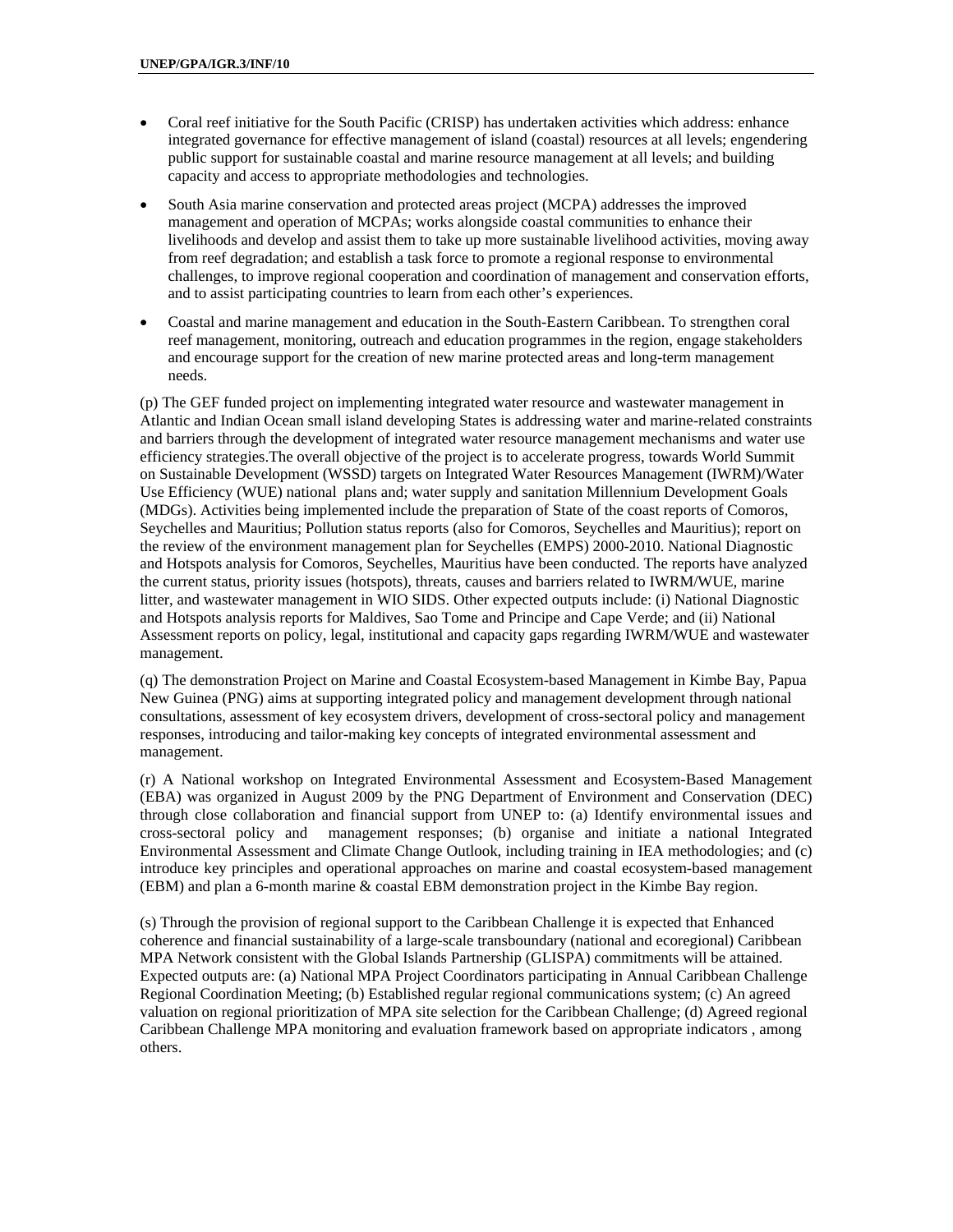- Coral reef initiative for the South Pacific (CRISP) has undertaken activities which address: enhance integrated governance for effective management of island (coastal) resources at all levels; engendering public support for sustainable coastal and marine resource management at all levels; and building capacity and access to appropriate methodologies and technologies.
- South Asia marine conservation and protected areas project (MCPA) addresses the improved management and operation of MCPAs; works alongside coastal communities to enhance their livelihoods and develop and assist them to take up more sustainable livelihood activities, moving away from reef degradation; and establish a task force to promote a regional response to environmental challenges, to improve regional cooperation and coordination of management and conservation efforts, and to assist participating countries to learn from each other's experiences.
- Coastal and marine management and education in the South-Eastern Caribbean. To strengthen coral reef management, monitoring, outreach and education programmes in the region, engage stakeholders and encourage support for the creation of new marine protected areas and long-term management needs.

(p) The GEF funded project on implementing integrated water resource and wastewater management in Atlantic and Indian Ocean small island developing States is addressing water and marine-related constraints and barriers through the development of integrated water resource management mechanisms and water use efficiency strategies.The overall objective of the project is to accelerate progress, towards World Summit on Sustainable Development (WSSD) targets on Integrated Water Resources Management (IWRM)/Water Use Efficiency (WUE) national plans and; water supply and sanitation Millennium Development Goals (MDGs). Activities being implemented include the preparation of State of the coast reports of Comoros, Seychelles and Mauritius; Pollution status reports (also for Comoros, Seychelles and Mauritius); report on the review of the environment management plan for Seychelles (EMPS) 2000-2010. National Diagnostic and Hotspots analysis for Comoros, Seychelles, Mauritius have been conducted. The reports have analyzed the current status, priority issues (hotspots), threats, causes and barriers related to IWRM/WUE, marine litter, and wastewater management in WIO SIDS. Other expected outputs include: (i) National Diagnostic and Hotspots analysis reports for Maldives, Sao Tome and Principe and Cape Verde; and (ii) National Assessment reports on policy, legal, institutional and capacity gaps regarding IWRM/WUE and wastewater management.

(q) The demonstration Project on Marine and Coastal Ecosystem-based Management in Kimbe Bay, Papua New Guinea (PNG) aims at supporting integrated policy and management development through national consultations, assessment of key ecosystem drivers, development of cross-sectoral policy and management responses, introducing and tailor-making key concepts of integrated environmental assessment and management.

(r) A National workshop on Integrated Environmental Assessment and Ecosystem-Based Management (EBA) was organized in August 2009 by the PNG Department of Environment and Conservation (DEC) through close collaboration and financial support from UNEP to: (a) Identify environmental issues and cross-sectoral policy and management responses; (b) organise and initiate a national Integrated Environmental Assessment and Climate Change Outlook, including training in IEA methodologies; and (c) introduce key principles and operational approaches on marine and coastal ecosystem-based management (EBM) and plan a 6-month marine & coastal EBM demonstration project in the Kimbe Bay region.

(s) Through the provision of regional support to the Caribbean Challenge it is expected that Enhanced coherence and financial sustainability of a large-scale transboundary (national and ecoregional) Caribbean MPA Network consistent with the Global Islands Partnership (GLISPA) commitments will be attained. Expected outputs are: (a) National MPA Project Coordinators participating in Annual Caribbean Challenge Regional Coordination Meeting; (b) Established regular regional communications system; (c) An agreed valuation on regional prioritization of MPA site selection for the Caribbean Challenge; (d) Agreed regional Caribbean Challenge MPA monitoring and evaluation framework based on appropriate indicators , among others.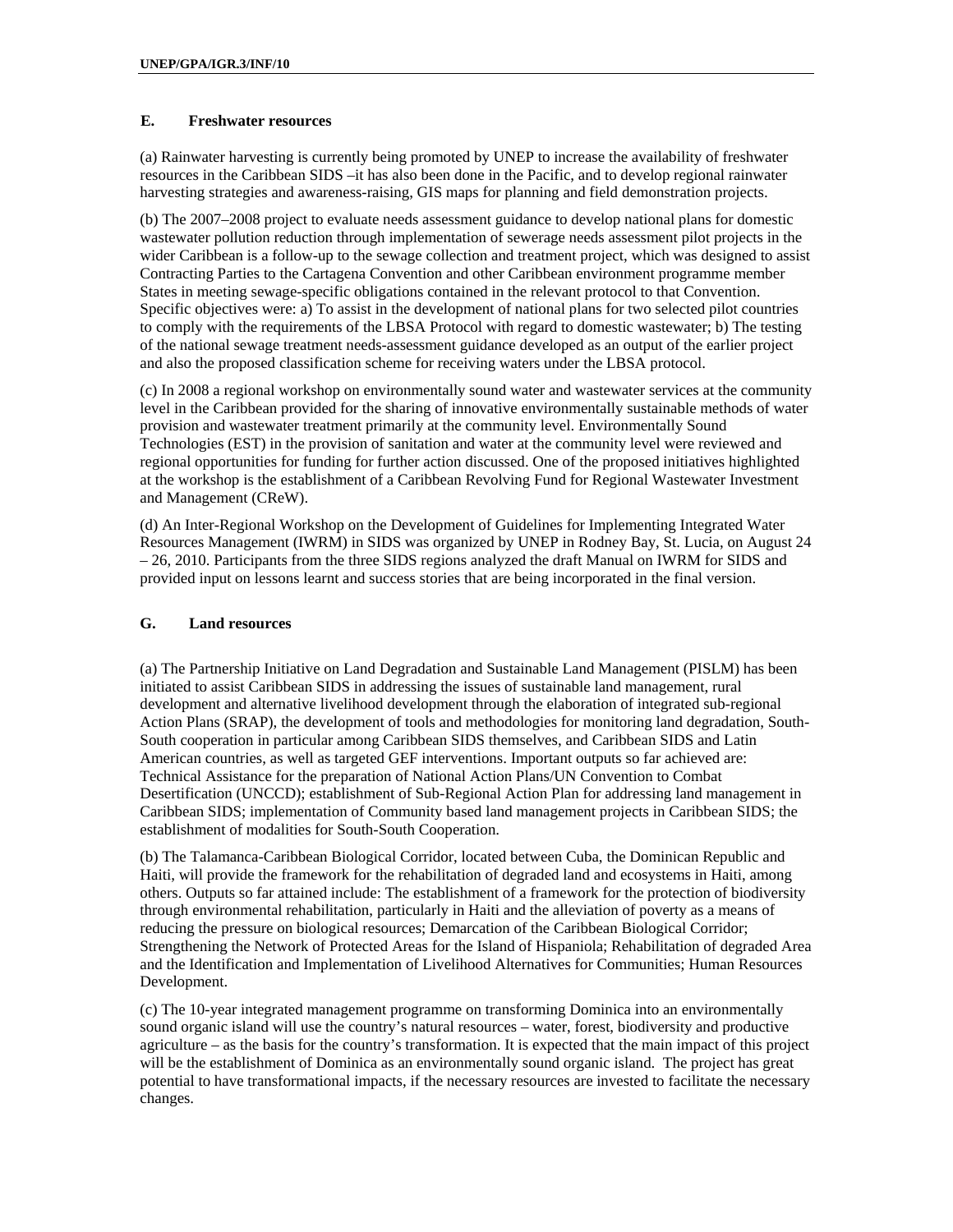#### **E. Freshwater resources**

(a) Rainwater harvesting is currently being promoted by UNEP to increase the availability of freshwater resources in the Caribbean SIDS –it has also been done in the Pacific, and to develop regional rainwater harvesting strategies and awareness-raising, GIS maps for planning and field demonstration projects.

(b) The 2007–2008 project to evaluate needs assessment guidance to develop national plans for domestic wastewater pollution reduction through implementation of sewerage needs assessment pilot projects in the wider Caribbean is a follow-up to the sewage collection and treatment project, which was designed to assist Contracting Parties to the Cartagena Convention and other Caribbean environment programme member States in meeting sewage-specific obligations contained in the relevant protocol to that Convention. Specific objectives were: a) To assist in the development of national plans for two selected pilot countries to comply with the requirements of the LBSA Protocol with regard to domestic wastewater; b) The testing of the national sewage treatment needs-assessment guidance developed as an output of the earlier project and also the proposed classification scheme for receiving waters under the LBSA protocol.

(c) In 2008 a regional workshop on environmentally sound water and wastewater services at the community level in the Caribbean provided for the sharing of innovative environmentally sustainable methods of water provision and wastewater treatment primarily at the community level. Environmentally Sound Technologies (EST) in the provision of sanitation and water at the community level were reviewed and regional opportunities for funding for further action discussed. One of the proposed initiatives highlighted at the workshop is the establishment of a Caribbean Revolving Fund for Regional Wastewater Investment and Management (CReW).

(d) An Inter-Regional Workshop on the Development of Guidelines for Implementing Integrated Water Resources Management (IWRM) in SIDS was organized by UNEP in Rodney Bay, St. Lucia, on August 24 – 26, 2010. Participants from the three SIDS regions analyzed the draft Manual on IWRM for SIDS and provided input on lessons learnt and success stories that are being incorporated in the final version.

#### **G. Land resources**

(a) The Partnership Initiative on Land Degradation and Sustainable Land Management (PISLM) has been initiated to assist Caribbean SIDS in addressing the issues of sustainable land management, rural development and alternative livelihood development through the elaboration of integrated sub-regional Action Plans (SRAP), the development of tools and methodologies for monitoring land degradation, South-South cooperation in particular among Caribbean SIDS themselves, and Caribbean SIDS and Latin American countries, as well as targeted GEF interventions. Important outputs so far achieved are: Technical Assistance for the preparation of National Action Plans/UN Convention to Combat Desertification (UNCCD); establishment of Sub-Regional Action Plan for addressing land management in Caribbean SIDS; implementation of Community based land management projects in Caribbean SIDS; the establishment of modalities for South-South Cooperation.

(b) The Talamanca-Caribbean Biological Corridor, located between Cuba, the Dominican Republic and Haiti, will provide the framework for the rehabilitation of degraded land and ecosystems in Haiti, among others. Outputs so far attained include: The establishment of a framework for the protection of biodiversity through environmental rehabilitation, particularly in Haiti and the alleviation of poverty as a means of reducing the pressure on biological resources; Demarcation of the Caribbean Biological Corridor; Strengthening the Network of Protected Areas for the Island of Hispaniola; Rehabilitation of degraded Area and the Identification and Implementation of Livelihood Alternatives for Communities; Human Resources Development.

(c) The 10-year integrated management programme on transforming Dominica into an environmentally sound organic island will use the country's natural resources – water, forest, biodiversity and productive agriculture – as the basis for the country's transformation. It is expected that the main impact of this project will be the establishment of Dominica as an environmentally sound organic island. The project has great potential to have transformational impacts, if the necessary resources are invested to facilitate the necessary changes.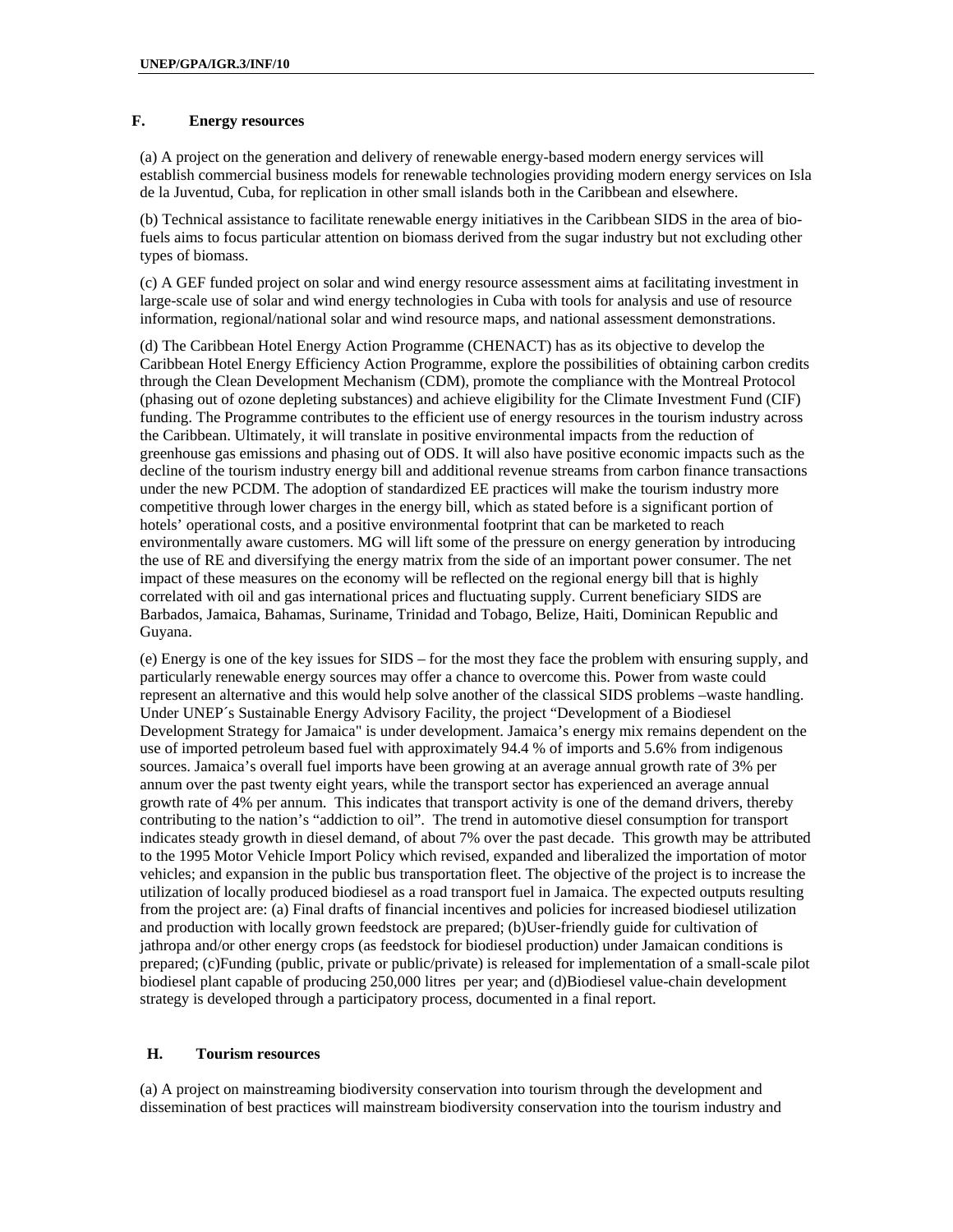#### **F. Energy resources**

(a) A project on the generation and delivery of renewable energy-based modern energy services will establish commercial business models for renewable technologies providing modern energy services on Isla de la Juventud, Cuba, for replication in other small islands both in the Caribbean and elsewhere.

(b) Technical assistance to facilitate renewable energy initiatives in the Caribbean SIDS in the area of biofuels aims to focus particular attention on biomass derived from the sugar industry but not excluding other types of biomass.

(c) A GEF funded project on solar and wind energy resource assessment aims at facilitating investment in large-scale use of solar and wind energy technologies in Cuba with tools for analysis and use of resource information, regional/national solar and wind resource maps, and national assessment demonstrations.

(d) The Caribbean Hotel Energy Action Programme (CHENACT) has as its objective to develop the Caribbean Hotel Energy Efficiency Action Programme, explore the possibilities of obtaining carbon credits through the Clean Development Mechanism (CDM), promote the compliance with the Montreal Protocol (phasing out of ozone depleting substances) and achieve eligibility for the Climate Investment Fund (CIF) funding. The Programme contributes to the efficient use of energy resources in the tourism industry across the Caribbean. Ultimately, it will translate in positive environmental impacts from the reduction of greenhouse gas emissions and phasing out of ODS. It will also have positive economic impacts such as the decline of the tourism industry energy bill and additional revenue streams from carbon finance transactions under the new PCDM. The adoption of standardized EE practices will make the tourism industry more competitive through lower charges in the energy bill, which as stated before is a significant portion of hotels' operational costs, and a positive environmental footprint that can be marketed to reach environmentally aware customers. MG will lift some of the pressure on energy generation by introducing the use of RE and diversifying the energy matrix from the side of an important power consumer. The net impact of these measures on the economy will be reflected on the regional energy bill that is highly correlated with oil and gas international prices and fluctuating supply. Current beneficiary SIDS are Barbados, Jamaica, Bahamas, Suriname, Trinidad and Tobago, Belize, Haiti, Dominican Republic and Guyana.

(e) Energy is one of the key issues for SIDS – for the most they face the problem with ensuring supply, and particularly renewable energy sources may offer a chance to overcome this. Power from waste could represent an alternative and this would help solve another of the classical SIDS problems –waste handling. Under UNEP´s Sustainable Energy Advisory Facility, the project "Development of a Biodiesel Development Strategy for Jamaica" is under development. Jamaica's energy mix remains dependent on the use of imported petroleum based fuel with approximately 94.4 % of imports and 5.6% from indigenous sources. Jamaica's overall fuel imports have been growing at an average annual growth rate of 3% per annum over the past twenty eight years, while the transport sector has experienced an average annual growth rate of 4% per annum. This indicates that transport activity is one of the demand drivers, thereby contributing to the nation's "addiction to oil". The trend in automotive diesel consumption for transport indicates steady growth in diesel demand, of about 7% over the past decade. This growth may be attributed to the 1995 Motor Vehicle Import Policy which revised, expanded and liberalized the importation of motor vehicles; and expansion in the public bus transportation fleet. The objective of the project is to increase the utilization of locally produced biodiesel as a road transport fuel in Jamaica. The expected outputs resulting from the project are: (a) Final drafts of financial incentives and policies for increased biodiesel utilization and production with locally grown feedstock are prepared; (b)User-friendly guide for cultivation of jathropa and/or other energy crops (as feedstock for biodiesel production) under Jamaican conditions is prepared; (c)Funding (public, private or public/private) is released for implementation of a small-scale pilot biodiesel plant capable of producing 250,000 litres per year; and (d)Biodiesel value-chain development strategy is developed through a participatory process, documented in a final report.

#### **H. Tourism resources**

(a) A project on mainstreaming biodiversity conservation into tourism through the development and dissemination of best practices will mainstream biodiversity conservation into the tourism industry and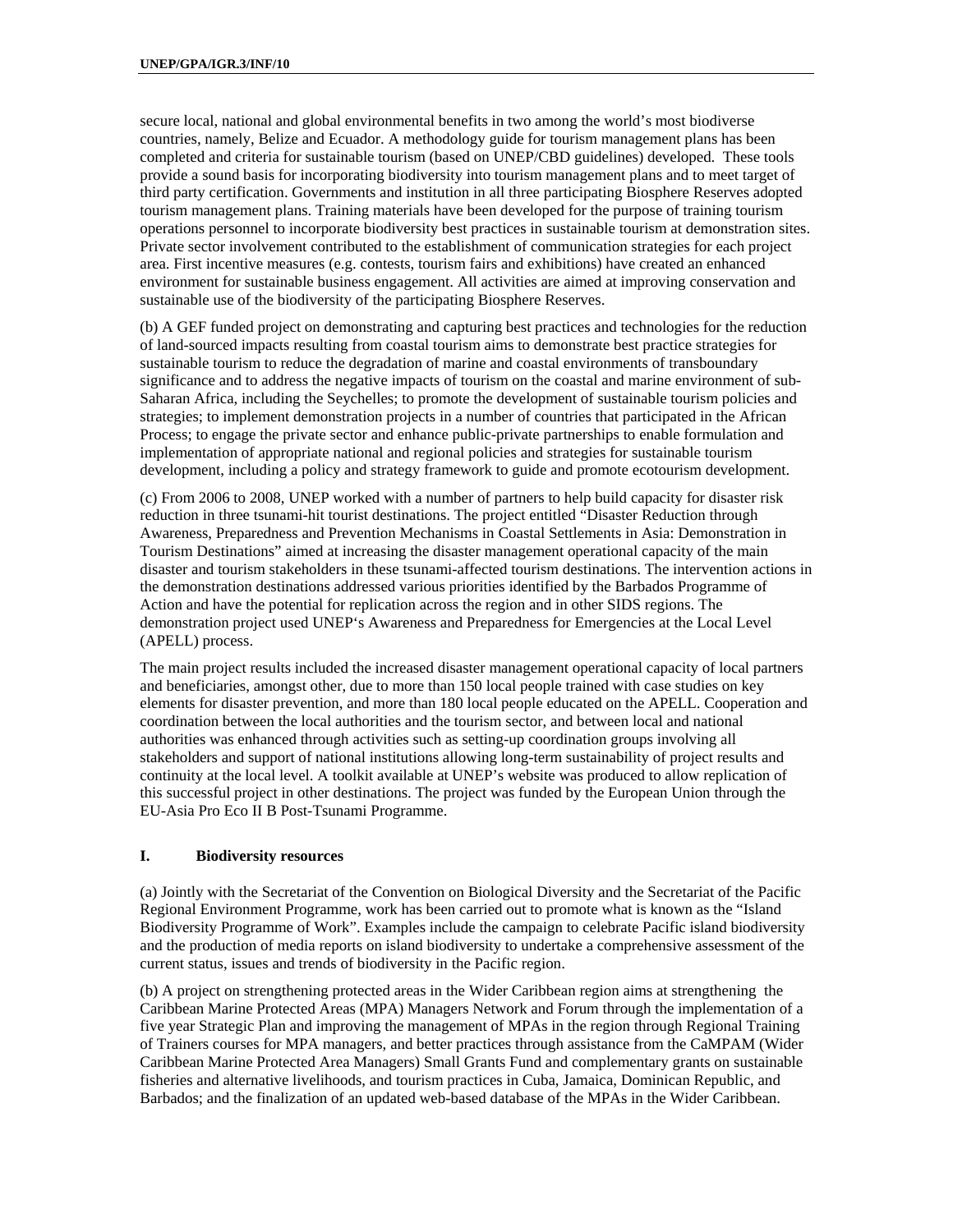secure local, national and global environmental benefits in two among the world's most biodiverse countries, namely, Belize and Ecuador. A methodology guide for tourism management plans has been completed and criteria for sustainable tourism (based on UNEP/CBD guidelines) developed. These tools provide a sound basis for incorporating biodiversity into tourism management plans and to meet target of third party certification. Governments and institution in all three participating Biosphere Reserves adopted tourism management plans. Training materials have been developed for the purpose of training tourism operations personnel to incorporate biodiversity best practices in sustainable tourism at demonstration sites. Private sector involvement contributed to the establishment of communication strategies for each project area. First incentive measures (e.g. contests, tourism fairs and exhibitions) have created an enhanced environment for sustainable business engagement. All activities are aimed at improving conservation and sustainable use of the biodiversity of the participating Biosphere Reserves.

(b) A GEF funded project on demonstrating and capturing best practices and technologies for the reduction of land-sourced impacts resulting from coastal tourism aims to demonstrate best practice strategies for sustainable tourism to reduce the degradation of marine and coastal environments of transboundary significance and to address the negative impacts of tourism on the coastal and marine environment of sub-Saharan Africa, including the Seychelles; to promote the development of sustainable tourism policies and strategies; to implement demonstration projects in a number of countries that participated in the African Process; to engage the private sector and enhance public-private partnerships to enable formulation and implementation of appropriate national and regional policies and strategies for sustainable tourism development, including a policy and strategy framework to guide and promote ecotourism development.

(c) From 2006 to 2008, UNEP worked with a number of partners to help build capacity for disaster risk reduction in three tsunami-hit tourist destinations. The project entitled "Disaster Reduction through Awareness, Preparedness and Prevention Mechanisms in Coastal Settlements in Asia: Demonstration in Tourism Destinations" aimed at increasing the disaster management operational capacity of the main disaster and tourism stakeholders in these tsunami-affected tourism destinations. The intervention actions in the demonstration destinations addressed various priorities identified by the Barbados Programme of Action and have the potential for replication across the region and in other SIDS regions. The demonstration project used UNEP's Awareness and Preparedness for Emergencies at the Local Level (APELL) process.

The main project results included the increased disaster management operational capacity of local partners and beneficiaries, amongst other, due to more than 150 local people trained with case studies on key elements for disaster prevention, and more than 180 local people educated on the APELL. Cooperation and coordination between the local authorities and the tourism sector, and between local and national authorities was enhanced through activities such as setting-up coordination groups involving all stakeholders and support of national institutions allowing long-term sustainability of project results and continuity at the local level. A toolkit available at UNEP's website was produced to allow replication of this successful project in other destinations. The project was funded by the European Union through the EU-Asia Pro Eco II B Post-Tsunami Programme.

#### **I. Biodiversity resources**

(a) Jointly with the Secretariat of the Convention on Biological Diversity and the Secretariat of the Pacific Regional Environment Programme, work has been carried out to promote what is known as the "Island Biodiversity Programme of Work". Examples include the campaign to celebrate Pacific island biodiversity and the production of media reports on island biodiversity to undertake a comprehensive assessment of the current status, issues and trends of biodiversity in the Pacific region.

(b) A project on strengthening protected areas in the Wider Caribbean region aims at strengthening the Caribbean Marine Protected Areas (MPA) Managers Network and Forum through the implementation of a five year Strategic Plan and improving the management of MPAs in the region through Regional Training of Trainers courses for MPA managers, and better practices through assistance from the CaMPAM (Wider Caribbean Marine Protected Area Managers) Small Grants Fund and complementary grants on sustainable fisheries and alternative livelihoods, and tourism practices in Cuba, Jamaica, Dominican Republic, and Barbados; and the finalization of an updated web-based database of the MPAs in the Wider Caribbean.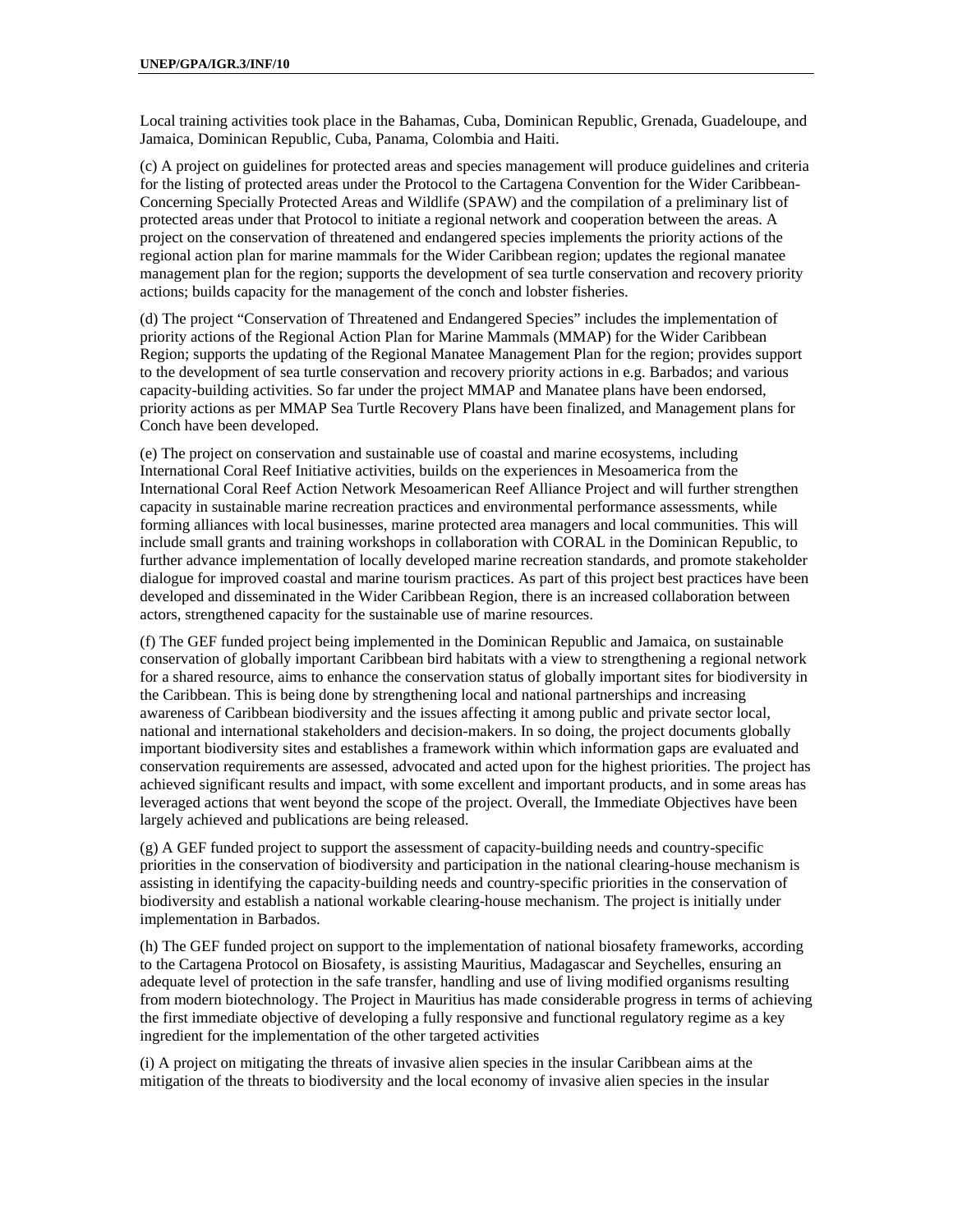Local training activities took place in the Bahamas, Cuba, Dominican Republic, Grenada, Guadeloupe, and Jamaica, Dominican Republic, Cuba, Panama, Colombia and Haiti.

(c) A project on guidelines for protected areas and species management will produce guidelines and criteria for the listing of protected areas under the Protocol to the Cartagena Convention for the Wider Caribbean-Concerning Specially Protected Areas and Wildlife (SPAW) and the compilation of a preliminary list of protected areas under that Protocol to initiate a regional network and cooperation between the areas. A project on the conservation of threatened and endangered species implements the priority actions of the regional action plan for marine mammals for the Wider Caribbean region; updates the regional manatee management plan for the region; supports the development of sea turtle conservation and recovery priority actions; builds capacity for the management of the conch and lobster fisheries.

(d) The project "Conservation of Threatened and Endangered Species" includes the implementation of priority actions of the Regional Action Plan for Marine Mammals (MMAP) for the Wider Caribbean Region; supports the updating of the Regional Manatee Management Plan for the region; provides support to the development of sea turtle conservation and recovery priority actions in e.g. Barbados; and various capacity-building activities. So far under the project MMAP and Manatee plans have been endorsed, priority actions as per MMAP Sea Turtle Recovery Plans have been finalized, and Management plans for Conch have been developed.

(e) The project on conservation and sustainable use of coastal and marine ecosystems, including International Coral Reef Initiative activities, builds on the experiences in Mesoamerica from the International Coral Reef Action Network Mesoamerican Reef Alliance Project and will further strengthen capacity in sustainable marine recreation practices and environmental performance assessments, while forming alliances with local businesses, marine protected area managers and local communities. This will include small grants and training workshops in collaboration with CORAL in the Dominican Republic, to further advance implementation of locally developed marine recreation standards, and promote stakeholder dialogue for improved coastal and marine tourism practices. As part of this project best practices have been developed and disseminated in the Wider Caribbean Region, there is an increased collaboration between actors, strengthened capacity for the sustainable use of marine resources.

(f) The GEF funded project being implemented in the Dominican Republic and Jamaica, on sustainable conservation of globally important Caribbean bird habitats with a view to strengthening a regional network for a shared resource, aims to enhance the conservation status of globally important sites for biodiversity in the Caribbean. This is being done by strengthening local and national partnerships and increasing awareness of Caribbean biodiversity and the issues affecting it among public and private sector local, national and international stakeholders and decision-makers. In so doing, the project documents globally important biodiversity sites and establishes a framework within which information gaps are evaluated and conservation requirements are assessed, advocated and acted upon for the highest priorities. The project has achieved significant results and impact, with some excellent and important products, and in some areas has leveraged actions that went beyond the scope of the project. Overall, the Immediate Objectives have been largely achieved and publications are being released.

(g) A GEF funded project to support the assessment of capacity-building needs and country-specific priorities in the conservation of biodiversity and participation in the national clearing-house mechanism is assisting in identifying the capacity-building needs and country-specific priorities in the conservation of biodiversity and establish a national workable clearing-house mechanism. The project is initially under implementation in Barbados.

(h) The GEF funded project on support to the implementation of national biosafety frameworks, according to the Cartagena Protocol on Biosafety, is assisting Mauritius, Madagascar and Seychelles, ensuring an adequate level of protection in the safe transfer, handling and use of living modified organisms resulting from modern biotechnology. The Project in Mauritius has made considerable progress in terms of achieving the first immediate objective of developing a fully responsive and functional regulatory regime as a key ingredient for the implementation of the other targeted activities

(i) A project on mitigating the threats of invasive alien species in the insular Caribbean aims at the mitigation of the threats to biodiversity and the local economy of invasive alien species in the insular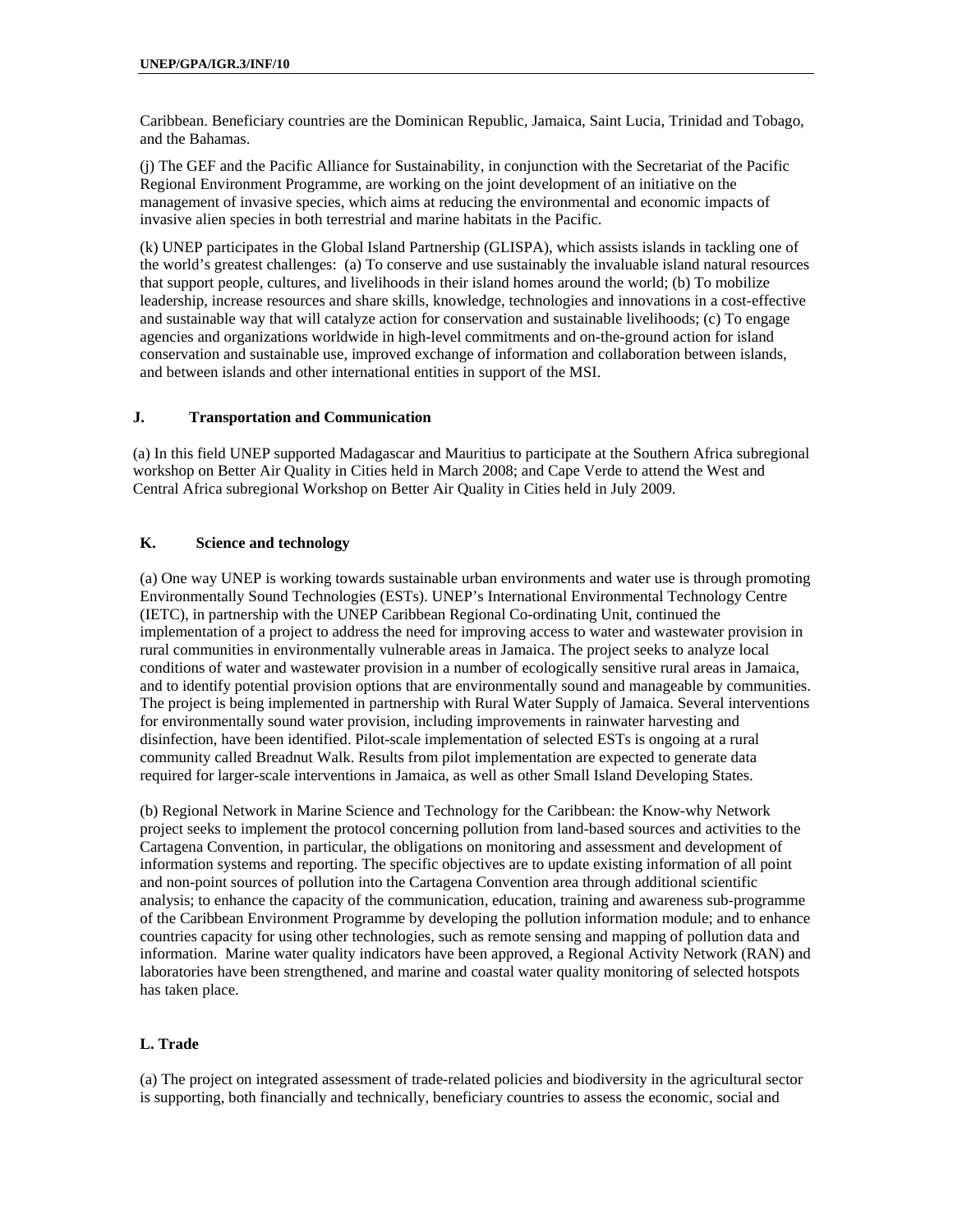Caribbean. Beneficiary countries are the Dominican Republic, Jamaica, Saint Lucia, Trinidad and Tobago, and the Bahamas.

(j) The GEF and the Pacific Alliance for Sustainability, in conjunction with the Secretariat of the Pacific Regional Environment Programme, are working on the joint development of an initiative on the management of invasive species, which aims at reducing the environmental and economic impacts of invasive alien species in both terrestrial and marine habitats in the Pacific.

(k) UNEP participates in the Global Island Partnership (GLISPA), which assists islands in tackling one of the world's greatest challenges: (a) To conserve and use sustainably the invaluable island natural resources that support people, cultures, and livelihoods in their island homes around the world; (b) To mobilize leadership, increase resources and share skills, knowledge, technologies and innovations in a cost-effective and sustainable way that will catalyze action for conservation and sustainable livelihoods; (c) To engage agencies and organizations worldwide in high-level commitments and on-the-ground action for island conservation and sustainable use, improved exchange of information and collaboration between islands, and between islands and other international entities in support of the MSI.

#### **J. Transportation and Communication**

(a) In this field UNEP supported Madagascar and Mauritius to participate at the Southern Africa subregional workshop on Better Air Quality in Cities held in March 2008; and Cape Verde to attend the West and Central Africa subregional Workshop on Better Air Quality in Cities held in July 2009.

#### **K. Science and technology**

(a) One way UNEP is working towards sustainable urban environments and water use is through promoting Environmentally Sound Technologies (ESTs). UNEP's International Environmental Technology Centre (IETC), in partnership with the UNEP Caribbean Regional Co-ordinating Unit, continued the implementation of a project to address the need for improving access to water and wastewater provision in rural communities in environmentally vulnerable areas in Jamaica. The project seeks to analyze local conditions of water and wastewater provision in a number of ecologically sensitive rural areas in Jamaica, and to identify potential provision options that are environmentally sound and manageable by communities. The project is being implemented in partnership with Rural Water Supply of Jamaica. Several interventions for environmentally sound water provision, including improvements in rainwater harvesting and disinfection, have been identified. Pilot-scale implementation of selected ESTs is ongoing at a rural community called Breadnut Walk. Results from pilot implementation are expected to generate data required for larger-scale interventions in Jamaica, as well as other Small Island Developing States.

(b) Regional Network in Marine Science and Technology for the Caribbean: the Know-why Network project seeks to implement the protocol concerning pollution from land-based sources and activities to the Cartagena Convention, in particular, the obligations on monitoring and assessment and development of information systems and reporting. The specific objectives are to update existing information of all point and non-point sources of pollution into the Cartagena Convention area through additional scientific analysis; to enhance the capacity of the communication, education, training and awareness sub-programme of the Caribbean Environment Programme by developing the pollution information module; and to enhance countries capacity for using other technologies, such as remote sensing and mapping of pollution data and information. Marine water quality indicators have been approved, a Regional Activity Network (RAN) and laboratories have been strengthened, and marine and coastal water quality monitoring of selected hotspots has taken place.

### **L. Trade**

(a) The project on integrated assessment of trade-related policies and biodiversity in the agricultural sector is supporting, both financially and technically, beneficiary countries to assess the economic, social and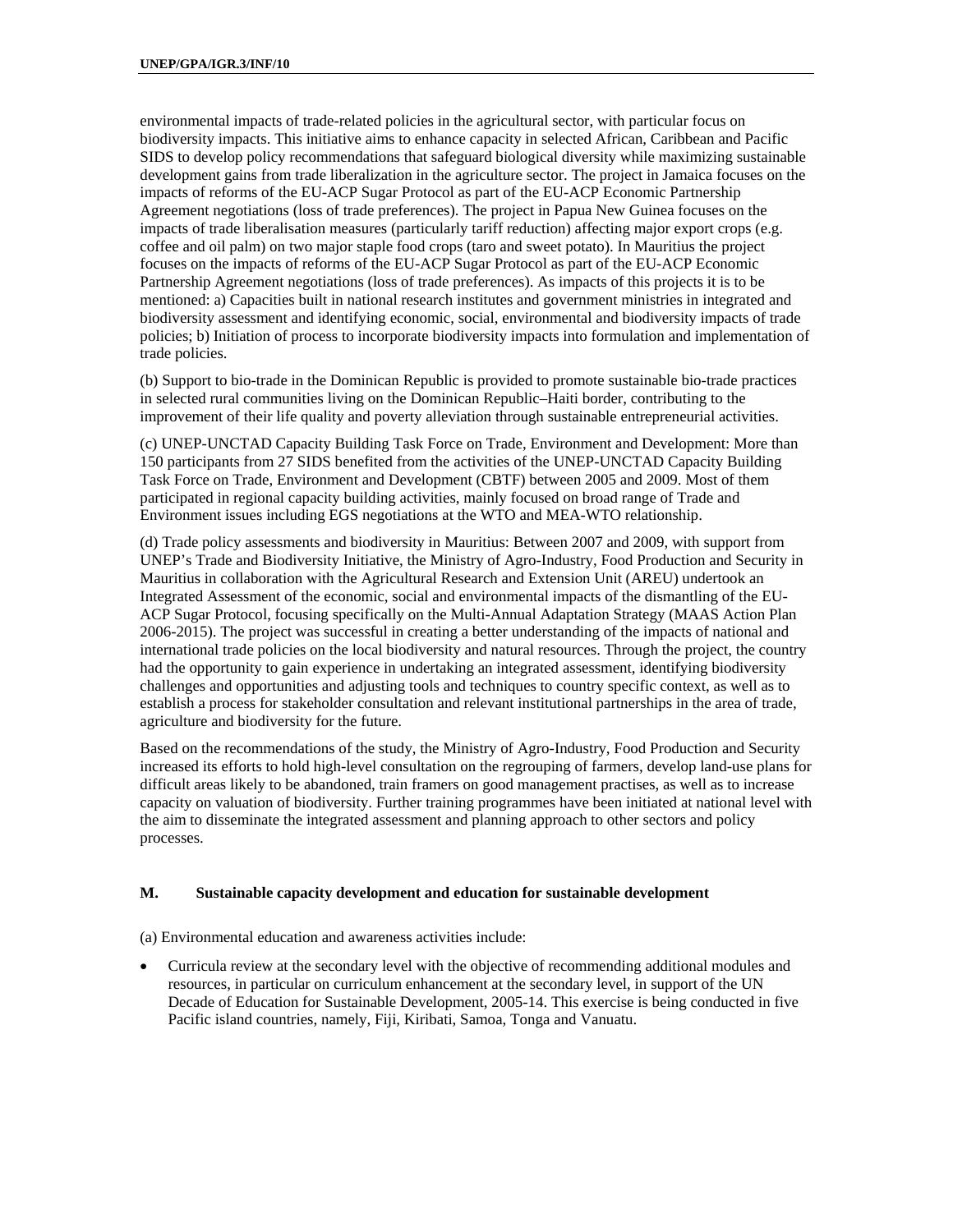environmental impacts of trade-related policies in the agricultural sector, with particular focus on biodiversity impacts. This initiative aims to enhance capacity in selected African, Caribbean and Pacific SIDS to develop policy recommendations that safeguard biological diversity while maximizing sustainable development gains from trade liberalization in the agriculture sector. The project in Jamaica focuses on the impacts of reforms of the EU-ACP Sugar Protocol as part of the EU-ACP Economic Partnership Agreement negotiations (loss of trade preferences). The project in Papua New Guinea focuses on the impacts of trade liberalisation measures (particularly tariff reduction) affecting major export crops (e.g. coffee and oil palm) on two major staple food crops (taro and sweet potato). In Mauritius the project focuses on the impacts of reforms of the EU-ACP Sugar Protocol as part of the EU-ACP Economic Partnership Agreement negotiations (loss of trade preferences). As impacts of this projects it is to be mentioned: a) Capacities built in national research institutes and government ministries in integrated and biodiversity assessment and identifying economic, social, environmental and biodiversity impacts of trade policies; b) Initiation of process to incorporate biodiversity impacts into formulation and implementation of trade policies.

(b) Support to bio-trade in the Dominican Republic is provided to promote sustainable bio-trade practices in selected rural communities living on the Dominican Republic–Haiti border, contributing to the improvement of their life quality and poverty alleviation through sustainable entrepreneurial activities.

(c) UNEP-UNCTAD Capacity Building Task Force on Trade, Environment and Development: More than 150 participants from 27 SIDS benefited from the activities of the UNEP-UNCTAD Capacity Building Task Force on Trade, Environment and Development (CBTF) between 2005 and 2009. Most of them participated in regional capacity building activities, mainly focused on broad range of Trade and Environment issues including EGS negotiations at the WTO and MEA-WTO relationship.

(d) Trade policy assessments and biodiversity in Mauritius: Between 2007 and 2009, with support from UNEP's Trade and Biodiversity Initiative, the Ministry of Agro-Industry, Food Production and Security in Mauritius in collaboration with the Agricultural Research and Extension Unit (AREU) undertook an Integrated Assessment of the economic, social and environmental impacts of the dismantling of the EU-ACP Sugar Protocol, focusing specifically on the Multi-Annual Adaptation Strategy (MAAS Action Plan 2006-2015). The project was successful in creating a better understanding of the impacts of national and international trade policies on the local biodiversity and natural resources. Through the project, the country had the opportunity to gain experience in undertaking an integrated assessment, identifying biodiversity challenges and opportunities and adjusting tools and techniques to country specific context, as well as to establish a process for stakeholder consultation and relevant institutional partnerships in the area of trade, agriculture and biodiversity for the future.

Based on the recommendations of the study, the Ministry of Agro-Industry, Food Production and Security increased its efforts to hold high-level consultation on the regrouping of farmers, develop land-use plans for difficult areas likely to be abandoned, train framers on good management practises, as well as to increase capacity on valuation of biodiversity. Further training programmes have been initiated at national level with the aim to disseminate the integrated assessment and planning approach to other sectors and policy processes.

#### **M. Sustainable capacity development and education for sustainable development**

(a) Environmental education and awareness activities include:

 Curricula review at the secondary level with the objective of recommending additional modules and resources, in particular on curriculum enhancement at the secondary level, in support of the UN Decade of Education for Sustainable Development, 2005-14. This exercise is being conducted in five Pacific island countries, namely, Fiji, Kiribati, Samoa, Tonga and Vanuatu.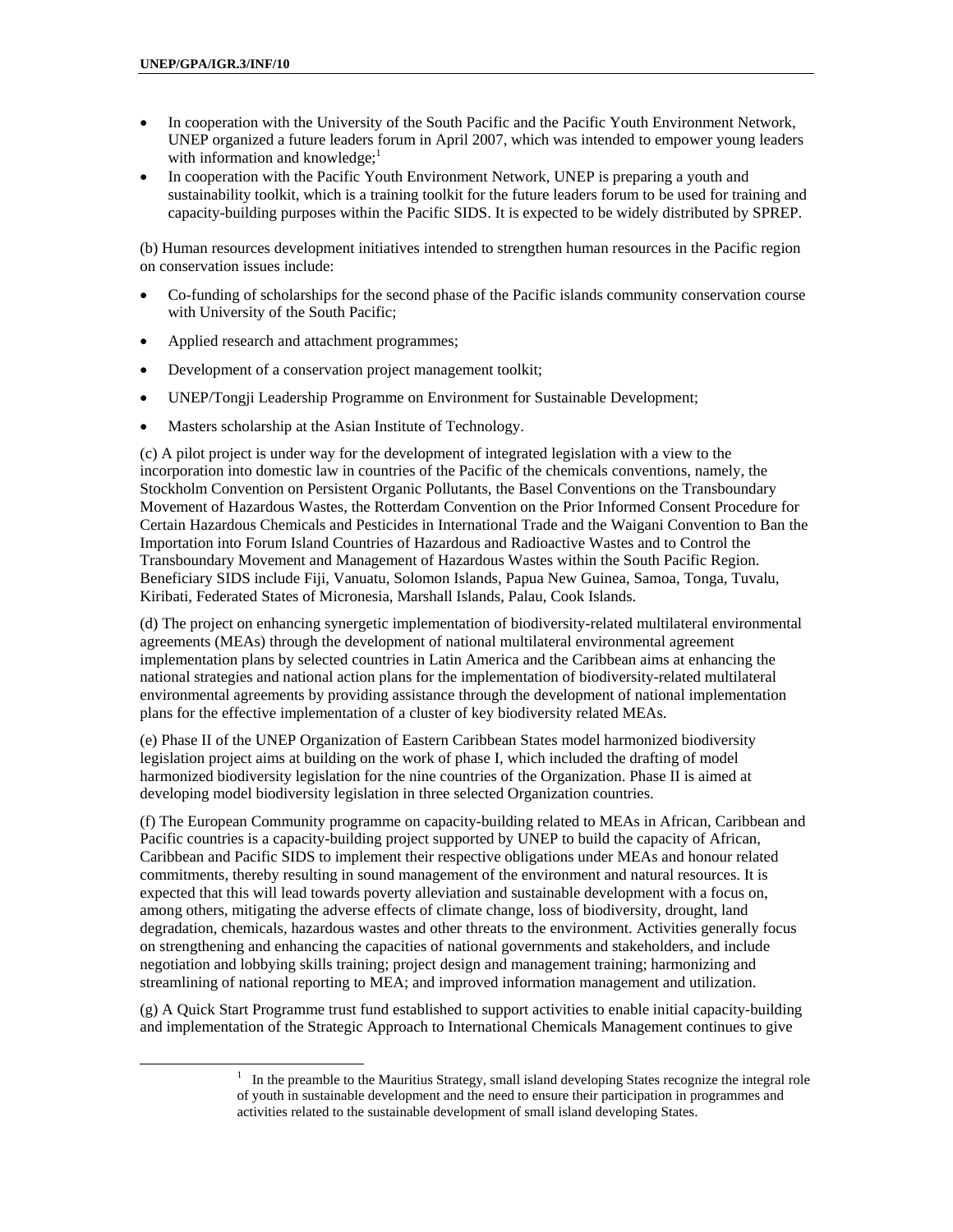- In cooperation with the University of the South Pacific and the Pacific Youth Environment Network, UNEP organized a future leaders forum in April 2007, which was intended to empower young leaders with information and knowledge; $<sup>1</sup>$ </sup>
- In cooperation with the Pacific Youth Environment Network, UNEP is preparing a youth and sustainability toolkit, which is a training toolkit for the future leaders forum to be used for training and capacity-building purposes within the Pacific SIDS. It is expected to be widely distributed by SPREP.

(b) Human resources development initiatives intended to strengthen human resources in the Pacific region on conservation issues include:

- Co-funding of scholarships for the second phase of the Pacific islands community conservation course with University of the South Pacific;
- Applied research and attachment programmes;
- Development of a conservation project management toolkit;
- UNEP/Tongji Leadership Programme on Environment for Sustainable Development;
- Masters scholarship at the Asian Institute of Technology.

(c) A pilot project is under way for the development of integrated legislation with a view to the incorporation into domestic law in countries of the Pacific of the chemicals conventions, namely, the Stockholm Convention on Persistent Organic Pollutants, the Basel Conventions on the Transboundary Movement of Hazardous Wastes, the Rotterdam Convention on the Prior Informed Consent Procedure for Certain Hazardous Chemicals and Pesticides in International Trade and the Waigani Convention to Ban the Importation into Forum Island Countries of Hazardous and Radioactive Wastes and to Control the Transboundary Movement and Management of Hazardous Wastes within the South Pacific Region. Beneficiary SIDS include Fiji, Vanuatu, Solomon Islands, Papua New Guinea, Samoa, Tonga, Tuvalu, Kiribati, Federated States of Micronesia, Marshall Islands, Palau, Cook Islands.

(d) The project on enhancing synergetic implementation of biodiversity-related multilateral environmental agreements (MEAs) through the development of national multilateral environmental agreement implementation plans by selected countries in Latin America and the Caribbean aims at enhancing the national strategies and national action plans for the implementation of biodiversity-related multilateral environmental agreements by providing assistance through the development of national implementation plans for the effective implementation of a cluster of key biodiversity related MEAs.

(e) Phase II of the UNEP Organization of Eastern Caribbean States model harmonized biodiversity legislation project aims at building on the work of phase I, which included the drafting of model harmonized biodiversity legislation for the nine countries of the Organization. Phase II is aimed at developing model biodiversity legislation in three selected Organization countries.

(f) The European Community programme on capacity-building related to MEAs in African, Caribbean and Pacific countries is a capacity-building project supported by UNEP to build the capacity of African, Caribbean and Pacific SIDS to implement their respective obligations under MEAs and honour related commitments, thereby resulting in sound management of the environment and natural resources. It is expected that this will lead towards poverty alleviation and sustainable development with a focus on, among others, mitigating the adverse effects of climate change, loss of biodiversity, drought, land degradation, chemicals, hazardous wastes and other threats to the environment. Activities generally focus on strengthening and enhancing the capacities of national governments and stakeholders, and include negotiation and lobbying skills training; project design and management training; harmonizing and streamlining of national reporting to MEA; and improved information management and utilization.

(g) A Quick Start Programme trust fund established to support activities to enable initial capacity-building and implementation of the Strategic Approach to International Chemicals Management continues to give

 <sup>1</sup>  $1$  In the preamble to the Mauritius Strategy, small island developing States recognize the integral role of youth in sustainable development and the need to ensure their participation in programmes and activities related to the sustainable development of small island developing States.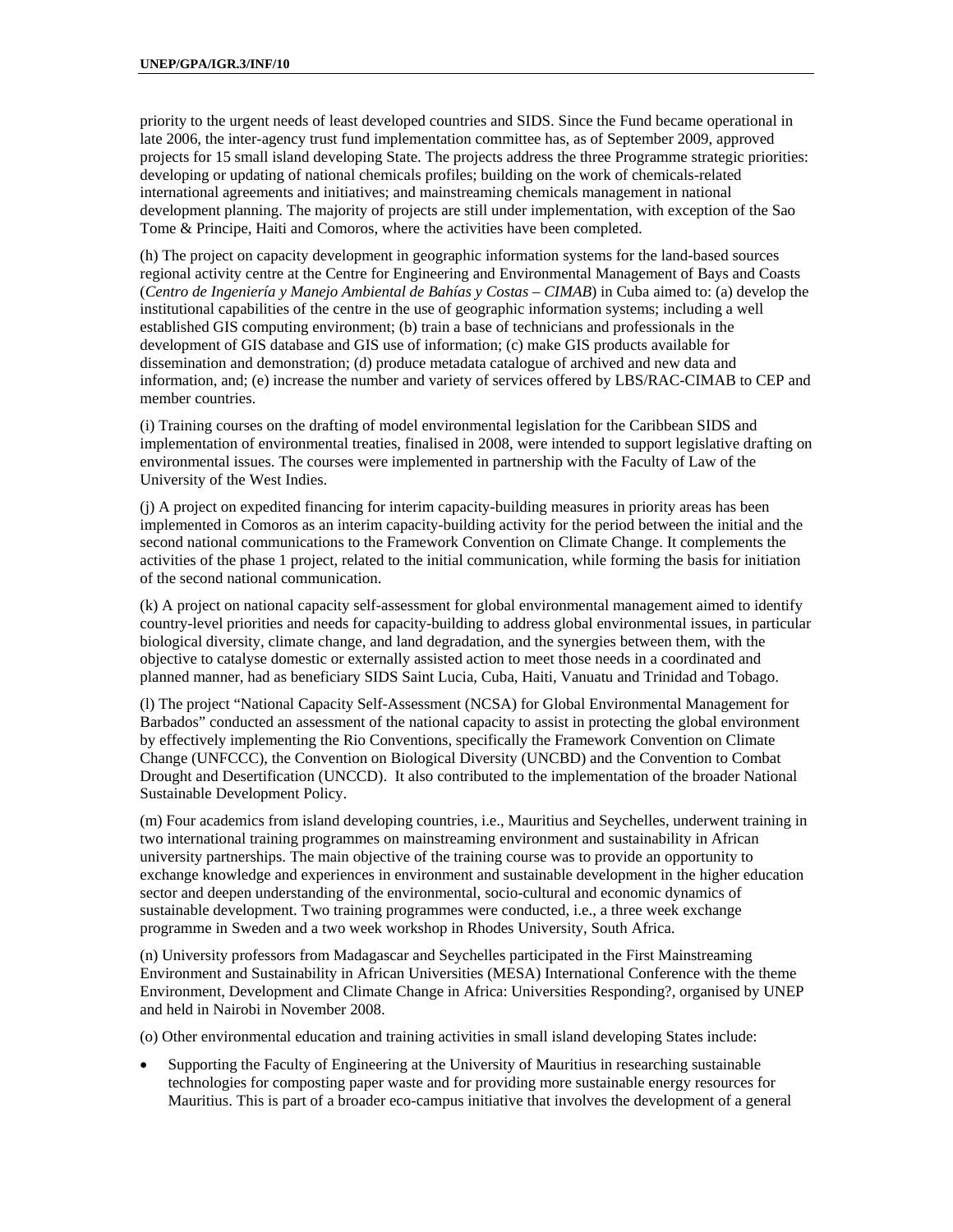priority to the urgent needs of least developed countries and SIDS. Since the Fund became operational in late 2006, the inter-agency trust fund implementation committee has, as of September 2009, approved projects for 15 small island developing State. The projects address the three Programme strategic priorities: developing or updating of national chemicals profiles; building on the work of chemicals-related international agreements and initiatives; and mainstreaming chemicals management in national development planning. The majority of projects are still under implementation, with exception of the Sao Tome & Principe, Haiti and Comoros, where the activities have been completed.

(h) The project on capacity development in geographic information systems for the land-based sources regional activity centre at the Centre for Engineering and Environmental Management of Bays and Coasts (*Centro de Ingeniería y Manejo Ambiental de Bahías y Costas – CIMAB*) in Cuba aimed to: (a) develop the institutional capabilities of the centre in the use of geographic information systems; including a well established GIS computing environment; (b) train a base of technicians and professionals in the development of GIS database and GIS use of information; (c) make GIS products available for dissemination and demonstration; (d) produce metadata catalogue of archived and new data and information, and; (e) increase the number and variety of services offered by LBS/RAC-CIMAB to CEP and member countries.

(i) Training courses on the drafting of model environmental legislation for the Caribbean SIDS and implementation of environmental treaties, finalised in 2008, were intended to support legislative drafting on environmental issues. The courses were implemented in partnership with the Faculty of Law of the University of the West Indies.

(j) A project on expedited financing for interim capacity-building measures in priority areas has been implemented in Comoros as an interim capacity-building activity for the period between the initial and the second national communications to the Framework Convention on Climate Change. It complements the activities of the phase 1 project, related to the initial communication, while forming the basis for initiation of the second national communication.

(k) A project on national capacity self-assessment for global environmental management aimed to identify country-level priorities and needs for capacity-building to address global environmental issues, in particular biological diversity, climate change, and land degradation, and the synergies between them, with the objective to catalyse domestic or externally assisted action to meet those needs in a coordinated and planned manner, had as beneficiary SIDS Saint Lucia, Cuba, Haiti, Vanuatu and Trinidad and Tobago.

(l) The project "National Capacity Self-Assessment (NCSA) for Global Environmental Management for Barbados" conducted an assessment of the national capacity to assist in protecting the global environment by effectively implementing the Rio Conventions, specifically the Framework Convention on Climate Change (UNFCCC), the Convention on Biological Diversity (UNCBD) and the Convention to Combat Drought and Desertification (UNCCD). It also contributed to the implementation of the broader National Sustainable Development Policy.

(m) Four academics from island developing countries, i.e., Mauritius and Seychelles, underwent training in two international training programmes on mainstreaming environment and sustainability in African university partnerships. The main objective of the training course was to provide an opportunity to exchange knowledge and experiences in environment and sustainable development in the higher education sector and deepen understanding of the environmental, socio-cultural and economic dynamics of sustainable development. Two training programmes were conducted, i.e., a three week exchange programme in Sweden and a two week workshop in Rhodes University, South Africa.

(n) University professors from Madagascar and Seychelles participated in the First Mainstreaming Environment and Sustainability in African Universities (MESA) International Conference with the theme Environment, Development and Climate Change in Africa: Universities Responding?, organised by UNEP and held in Nairobi in November 2008.

(o) Other environmental education and training activities in small island developing States include:

 Supporting the Faculty of Engineering at the University of Mauritius in researching sustainable technologies for composting paper waste and for providing more sustainable energy resources for Mauritius. This is part of a broader eco-campus initiative that involves the development of a general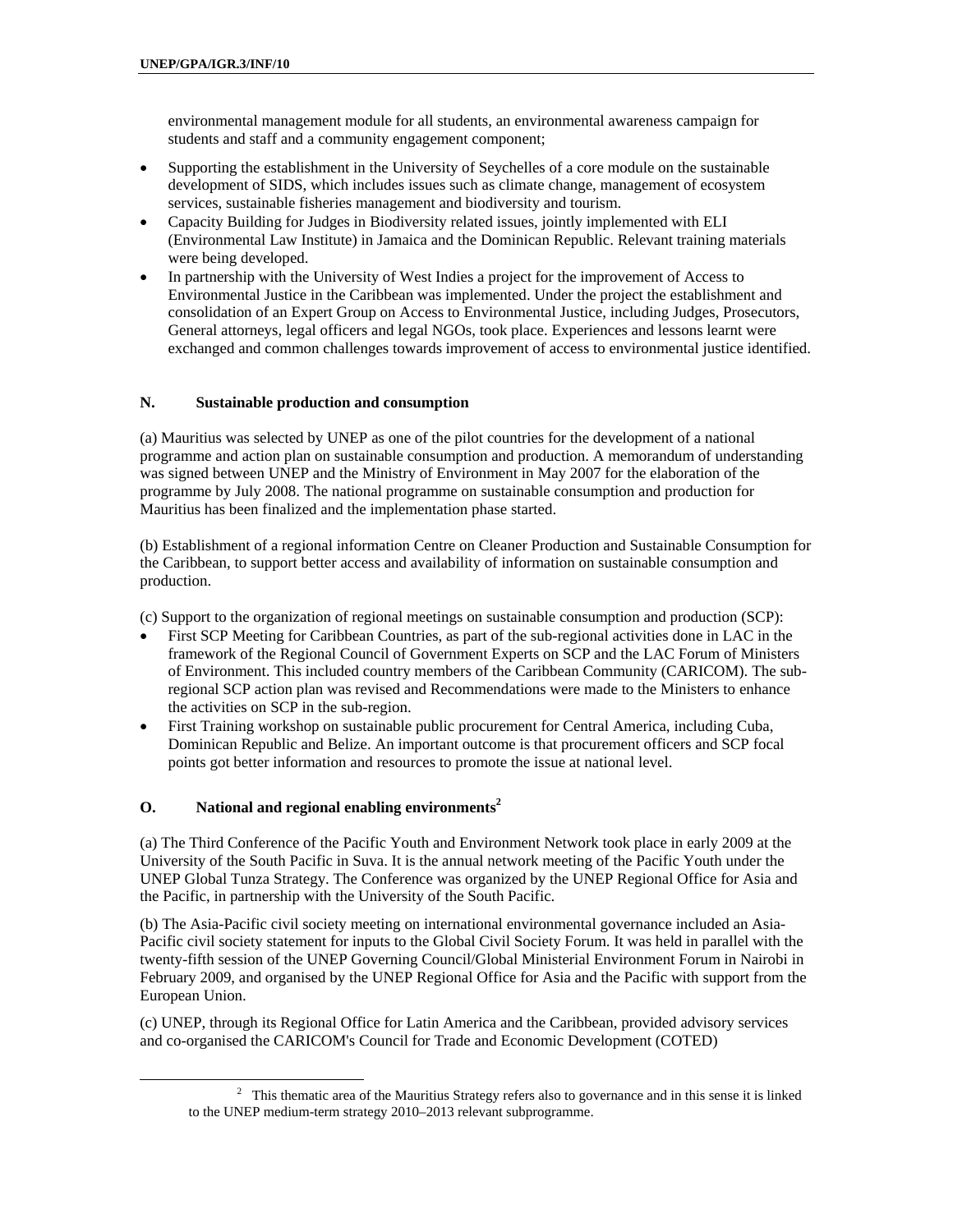environmental management module for all students, an environmental awareness campaign for students and staff and a community engagement component;

- Supporting the establishment in the University of Seychelles of a core module on the sustainable development of SIDS, which includes issues such as climate change, management of ecosystem services, sustainable fisheries management and biodiversity and tourism.
- Capacity Building for Judges in Biodiversity related issues, jointly implemented with ELI (Environmental Law Institute) in Jamaica and the Dominican Republic. Relevant training materials were being developed.
- In partnership with the University of West Indies a project for the improvement of Access to Environmental Justice in the Caribbean was implemented. Under the project the establishment and consolidation of an Expert Group on Access to Environmental Justice, including Judges, Prosecutors, General attorneys, legal officers and legal NGOs, took place. Experiences and lessons learnt were exchanged and common challenges towards improvement of access to environmental justice identified.

#### **N. Sustainable production and consumption**

(a) Mauritius was selected by UNEP as one of the pilot countries for the development of a national programme and action plan on sustainable consumption and production. A memorandum of understanding was signed between UNEP and the Ministry of Environment in May 2007 for the elaboration of the programme by July 2008. The national programme on sustainable consumption and production for Mauritius has been finalized and the implementation phase started.

(b) Establishment of a regional information Centre on Cleaner Production and Sustainable Consumption for the Caribbean, to support better access and availability of information on sustainable consumption and production.

(c) Support to the organization of regional meetings on sustainable consumption and production (SCP):

- First SCP Meeting for Caribbean Countries, as part of the sub-regional activities done in LAC in the framework of the Regional Council of Government Experts on SCP and the LAC Forum of Ministers of Environment. This included country members of the Caribbean Community (CARICOM). The subregional SCP action plan was revised and Recommendations were made to the Ministers to enhance the activities on SCP in the sub-region.
- First Training workshop on sustainable public procurement for Central America, including Cuba, Dominican Republic and Belize. An important outcome is that procurement officers and SCP focal points got better information and resources to promote the issue at national level.

#### **O.** National and regional enabling environments<sup>2</sup>

(a) The Third Conference of the Pacific Youth and Environment Network took place in early 2009 at the University of the South Pacific in Suva. It is the annual network meeting of the Pacific Youth under the UNEP Global Tunza Strategy. The Conference was organized by the UNEP Regional Office for Asia and the Pacific, in partnership with the University of the South Pacific.

(b) The Asia-Pacific civil society meeting on international environmental governance included an Asia-Pacific civil society statement for inputs to the Global Civil Society Forum. It was held in parallel with the twenty-fifth session of the UNEP Governing Council/Global Ministerial Environment Forum in Nairobi in February 2009, and organised by the UNEP Regional Office for Asia and the Pacific with support from the European Union.

(c) UNEP, through its Regional Office for Latin America and the Caribbean, provided advisory services and co-organised the CARICOM's Council for Trade and Economic Development (COTED)

 <sup>2</sup>  $\frac{2}{3}$  This thematic area of the Mauritius Strategy refers also to governance and in this sense it is linked to the UNEP medium-term strategy 2010–2013 relevant subprogramme.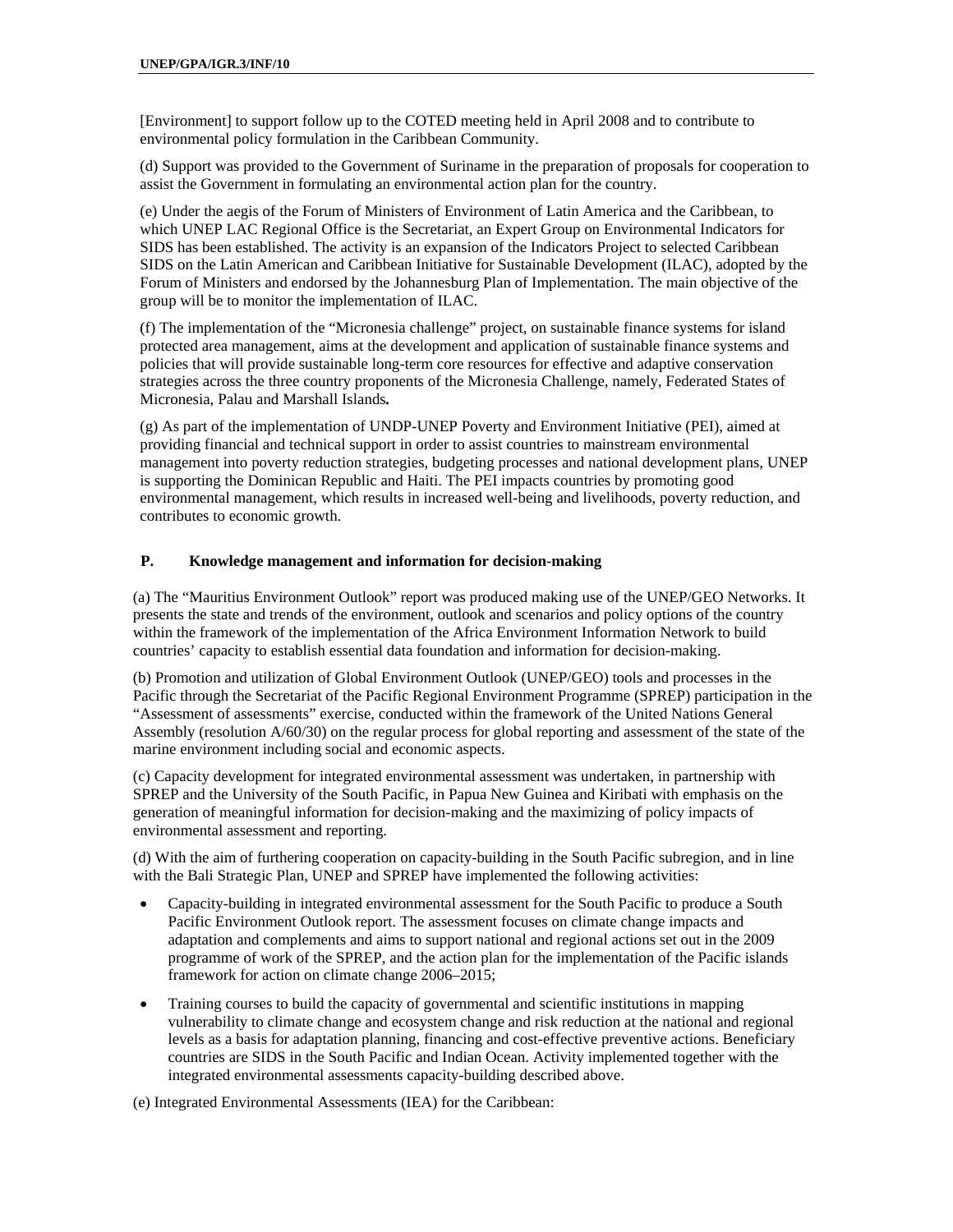[Environment] to support follow up to the COTED meeting held in April 2008 and to contribute to environmental policy formulation in the Caribbean Community.

(d) Support was provided to the Government of Suriname in the preparation of proposals for cooperation to assist the Government in formulating an environmental action plan for the country.

(e) Under the aegis of the Forum of Ministers of Environment of Latin America and the Caribbean, to which UNEP LAC Regional Office is the Secretariat, an Expert Group on Environmental Indicators for SIDS has been established. The activity is an expansion of the Indicators Project to selected Caribbean SIDS on the Latin American and Caribbean Initiative for Sustainable Development (ILAC), adopted by the Forum of Ministers and endorsed by the Johannesburg Plan of Implementation. The main objective of the group will be to monitor the implementation of ILAC.

(f) The implementation of the "Micronesia challenge" project, on sustainable finance systems for island protected area management, aims at the development and application of sustainable finance systems and policies that will provide sustainable long-term core resources for effective and adaptive conservation strategies across the three country proponents of the Micronesia Challenge, namely, Federated States of Micronesia, Palau and Marshall Islands*.*

(g) As part of the implementation of UNDP-UNEP Poverty and Environment Initiative (PEI), aimed at providing financial and technical support in order to assist countries to mainstream environmental management into poverty reduction strategies, budgeting processes and national development plans, UNEP is supporting the Dominican Republic and Haiti. The PEI impacts countries by promoting good environmental management, which results in increased well-being and livelihoods, poverty reduction, and contributes to economic growth.

#### **P. Knowledge management and information for decision-making**

(a) The "Mauritius Environment Outlook" report was produced making use of the UNEP/GEO Networks. It presents the state and trends of the environment, outlook and scenarios and policy options of the country within the framework of the implementation of the Africa Environment Information Network to build countries' capacity to establish essential data foundation and information for decision-making.

(b) Promotion and utilization of Global Environment Outlook (UNEP/GEO) tools and processes in the Pacific through the Secretariat of the Pacific Regional Environment Programme (SPREP) participation in the "Assessment of assessments" exercise, conducted within the framework of the United Nations General Assembly (resolution A/60/30) on the regular process for global reporting and assessment of the state of the marine environment including social and economic aspects.

(c) Capacity development for integrated environmental assessment was undertaken, in partnership with SPREP and the University of the South Pacific, in Papua New Guinea and Kiribati with emphasis on the generation of meaningful information for decision-making and the maximizing of policy impacts of environmental assessment and reporting.

(d) With the aim of furthering cooperation on capacity-building in the South Pacific subregion, and in line with the Bali Strategic Plan, UNEP and SPREP have implemented the following activities:

- Capacity-building in integrated environmental assessment for the South Pacific to produce a South Pacific Environment Outlook report. The assessment focuses on climate change impacts and adaptation and complements and aims to support national and regional actions set out in the 2009 programme of work of the SPREP, and the action plan for the implementation of the Pacific islands framework for action on climate change 2006–2015;
- Training courses to build the capacity of governmental and scientific institutions in mapping vulnerability to climate change and ecosystem change and risk reduction at the national and regional levels as a basis for adaptation planning, financing and cost-effective preventive actions. Beneficiary countries are SIDS in the South Pacific and Indian Ocean. Activity implemented together with the integrated environmental assessments capacity-building described above.

(e) Integrated Environmental Assessments (IEA) for the Caribbean: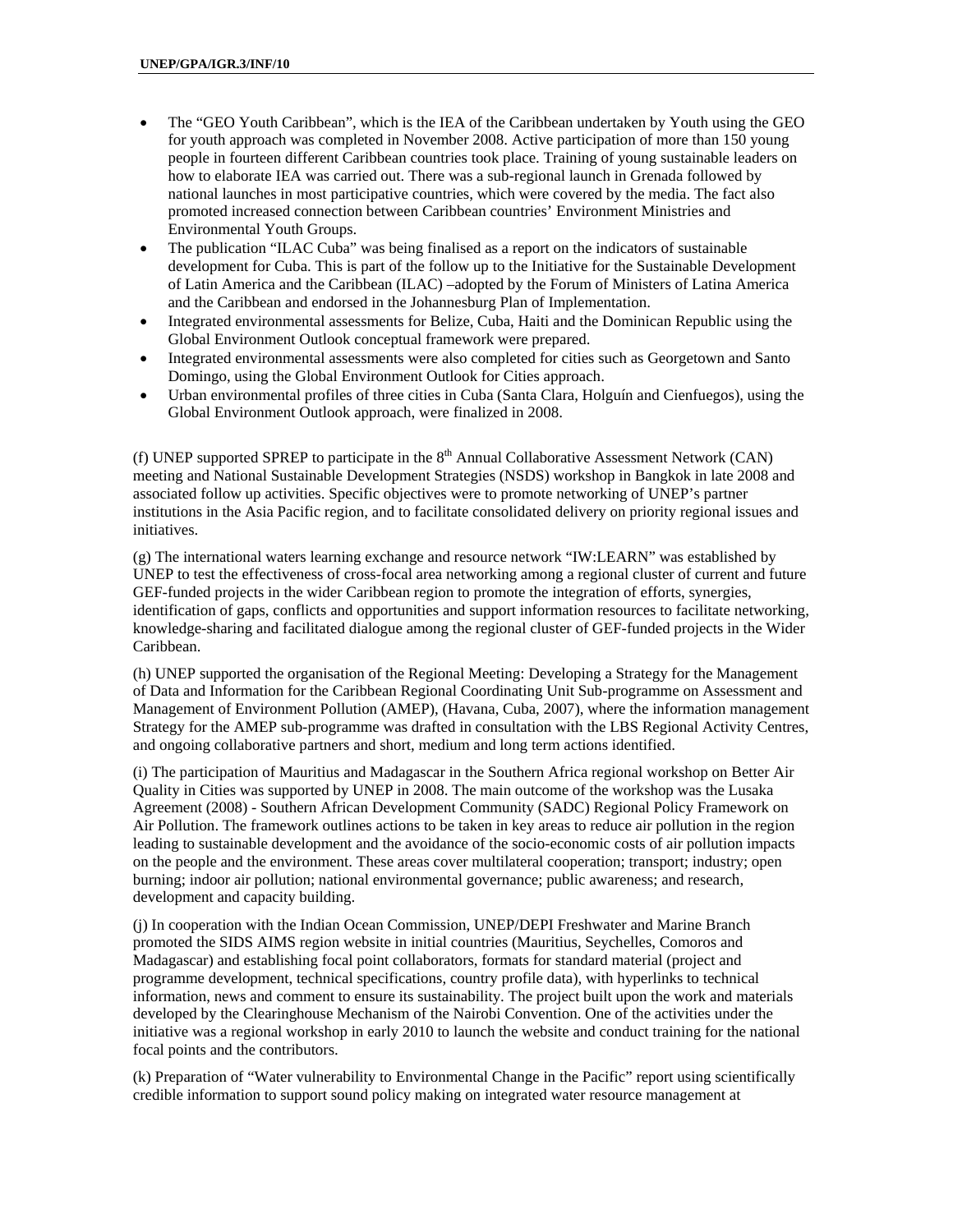- The "GEO Youth Caribbean", which is the IEA of the Caribbean undertaken by Youth using the GEO for youth approach was completed in November 2008. Active participation of more than 150 young people in fourteen different Caribbean countries took place. Training of young sustainable leaders on how to elaborate IEA was carried out. There was a sub-regional launch in Grenada followed by national launches in most participative countries, which were covered by the media. The fact also promoted increased connection between Caribbean countries' Environment Ministries and Environmental Youth Groups.
- The publication "ILAC Cuba" was being finalised as a report on the indicators of sustainable development for Cuba. This is part of the follow up to the Initiative for the Sustainable Development of Latin America and the Caribbean (ILAC) –adopted by the Forum of Ministers of Latina America and the Caribbean and endorsed in the Johannesburg Plan of Implementation.
- Integrated environmental assessments for Belize, Cuba, Haiti and the Dominican Republic using the Global Environment Outlook conceptual framework were prepared.
- Integrated environmental assessments were also completed for cities such as Georgetown and Santo Domingo, using the Global Environment Outlook for Cities approach.
- Urban environmental profiles of three cities in Cuba (Santa Clara, Holguín and Cienfuegos), using the Global Environment Outlook approach, were finalized in 2008.

(f) UNEP supported SPREP to participate in the  $8<sup>th</sup>$  Annual Collaborative Assessment Network (CAN) meeting and National Sustainable Development Strategies (NSDS) workshop in Bangkok in late 2008 and associated follow up activities. Specific objectives were to promote networking of UNEP's partner institutions in the Asia Pacific region, and to facilitate consolidated delivery on priority regional issues and initiatives.

(g) The international waters learning exchange and resource network "IW:LEARN" was established by UNEP to test the effectiveness of cross-focal area networking among a regional cluster of current and future GEF-funded projects in the wider Caribbean region to promote the integration of efforts, synergies, identification of gaps, conflicts and opportunities and support information resources to facilitate networking, knowledge-sharing and facilitated dialogue among the regional cluster of GEF-funded projects in the Wider Caribbean.

(h) UNEP supported the organisation of the Regional Meeting: Developing a Strategy for the Management of Data and Information for the Caribbean Regional Coordinating Unit Sub-programme on Assessment and Management of Environment Pollution (AMEP), (Havana, Cuba, 2007), where the information management Strategy for the AMEP sub-programme was drafted in consultation with the LBS Regional Activity Centres, and ongoing collaborative partners and short, medium and long term actions identified.

(i) The participation of Mauritius and Madagascar in the Southern Africa regional workshop on Better Air Quality in Cities was supported by UNEP in 2008. The main outcome of the workshop was the Lusaka Agreement (2008) - Southern African Development Community (SADC) Regional Policy Framework on Air Pollution. The framework outlines actions to be taken in key areas to reduce air pollution in the region leading to sustainable development and the avoidance of the socio-economic costs of air pollution impacts on the people and the environment. These areas cover multilateral cooperation; transport; industry; open burning; indoor air pollution; national environmental governance; public awareness; and research, development and capacity building.

(j) In cooperation with the Indian Ocean Commission, UNEP/DEPI Freshwater and Marine Branch promoted the SIDS AIMS region website in initial countries (Mauritius, Seychelles, Comoros and Madagascar) and establishing focal point collaborators, formats for standard material (project and programme development, technical specifications, country profile data), with hyperlinks to technical information, news and comment to ensure its sustainability. The project built upon the work and materials developed by the Clearinghouse Mechanism of the Nairobi Convention. One of the activities under the initiative was a regional workshop in early 2010 to launch the website and conduct training for the national focal points and the contributors.

(k) Preparation of "Water vulnerability to Environmental Change in the Pacific" report using scientifically credible information to support sound policy making on integrated water resource management at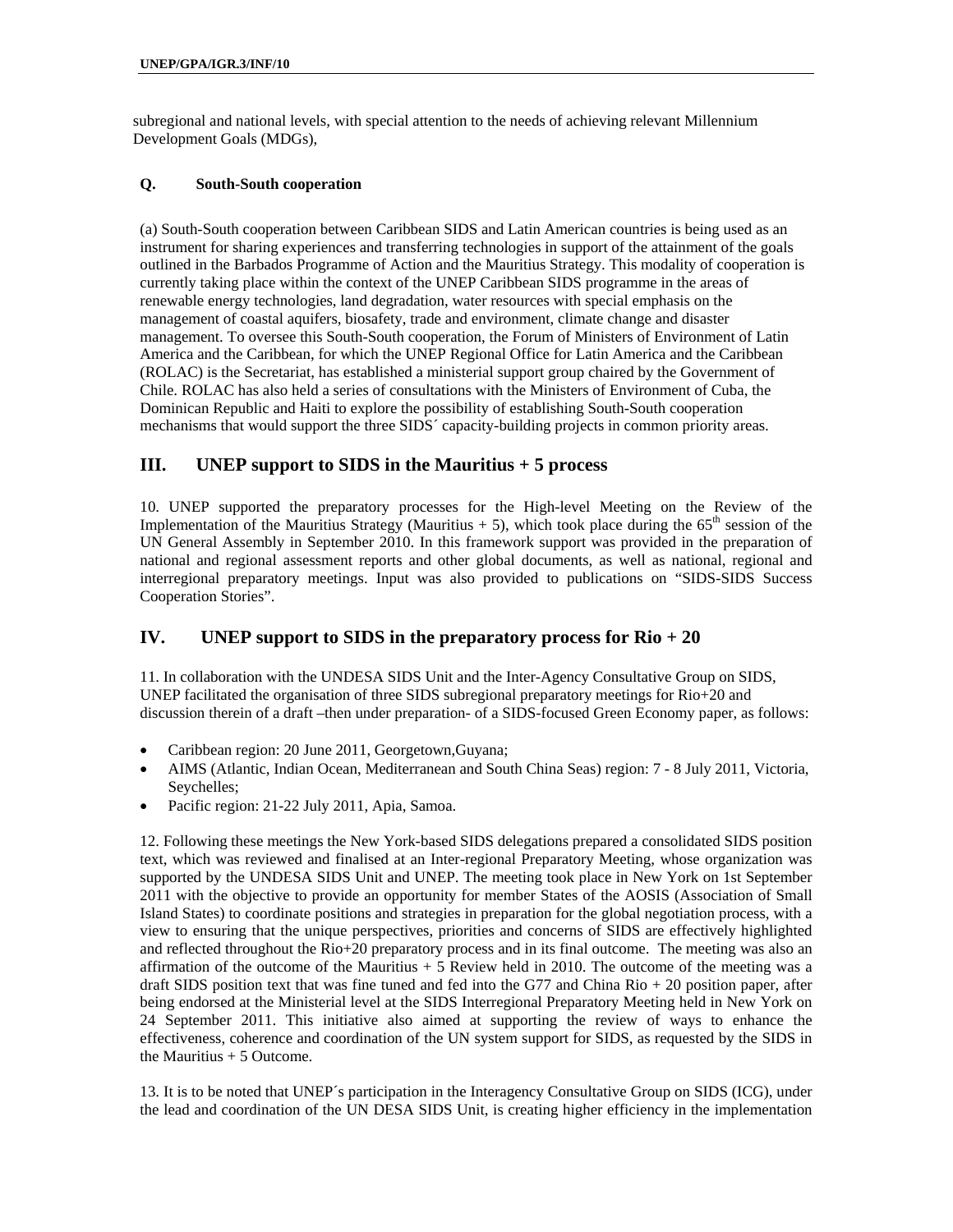subregional and national levels, with special attention to the needs of achieving relevant Millennium Development Goals (MDGs),

#### **Q. South-South cooperation**

(a) South-South cooperation between Caribbean SIDS and Latin American countries is being used as an instrument for sharing experiences and transferring technologies in support of the attainment of the goals outlined in the Barbados Programme of Action and the Mauritius Strategy. This modality of cooperation is currently taking place within the context of the UNEP Caribbean SIDS programme in the areas of renewable energy technologies, land degradation, water resources with special emphasis on the management of coastal aquifers, biosafety, trade and environment, climate change and disaster management. To oversee this South-South cooperation, the Forum of Ministers of Environment of Latin America and the Caribbean, for which the UNEP Regional Office for Latin America and the Caribbean (ROLAC) is the Secretariat, has established a ministerial support group chaired by the Government of Chile. ROLAC has also held a series of consultations with the Ministers of Environment of Cuba, the Dominican Republic and Haiti to explore the possibility of establishing South-South cooperation mechanisms that would support the three SIDS´ capacity-building projects in common priority areas.

## **III. UNEP support to SIDS in the Mauritius + 5 process**

10. UNEP supported the preparatory processes for the High-level Meeting on the Review of the Implementation of the Mauritius Strategy (Mauritius  $+ 5$ ), which took place during the  $65<sup>th</sup>$  session of the UN General Assembly in September 2010. In this framework support was provided in the preparation of national and regional assessment reports and other global documents, as well as national, regional and interregional preparatory meetings. Input was also provided to publications on "SIDS-SIDS Success Cooperation Stories".

## **IV. UNEP support to SIDS in the preparatory process for Rio + 20**

11. In collaboration with the UNDESA SIDS Unit and the Inter-Agency Consultative Group on SIDS, UNEP facilitated the organisation of three SIDS subregional preparatory meetings for Rio+20 and discussion therein of a draft –then under preparation- of a SIDS-focused Green Economy paper, as follows:

- Caribbean region: 20 June 2011, Georgetown, Guyana;
- AIMS (Atlantic, Indian Ocean, Mediterranean and South China Seas) region: 7 8 July 2011, Victoria, Seychelles;
- Pacific region: 21-22 July 2011, Apia, Samoa.

12. Following these meetings the New York-based SIDS delegations prepared a consolidated SIDS position text, which was reviewed and finalised at an Inter-regional Preparatory Meeting, whose organization was supported by the UNDESA SIDS Unit and UNEP. The meeting took place in New York on 1st September 2011 with the objective to provide an opportunity for member States of the AOSIS (Association of Small Island States) to coordinate positions and strategies in preparation for the global negotiation process, with a view to ensuring that the unique perspectives, priorities and concerns of SIDS are effectively highlighted and reflected throughout the Rio+20 preparatory process and in its final outcome. The meeting was also an affirmation of the outcome of the Mauritius + 5 Review held in 2010. The outcome of the meeting was a draft SIDS position text that was fine tuned and fed into the G77 and China Rio + 20 position paper, after being endorsed at the Ministerial level at the SIDS Interregional Preparatory Meeting held in New York on 24 September 2011. This initiative also aimed at supporting the review of ways to enhance the effectiveness, coherence and coordination of the UN system support for SIDS, as requested by the SIDS in the Mauritius  $+ 5$  Outcome.

13. It is to be noted that UNEP´s participation in the Interagency Consultative Group on SIDS (ICG), under the lead and coordination of the UN DESA SIDS Unit, is creating higher efficiency in the implementation